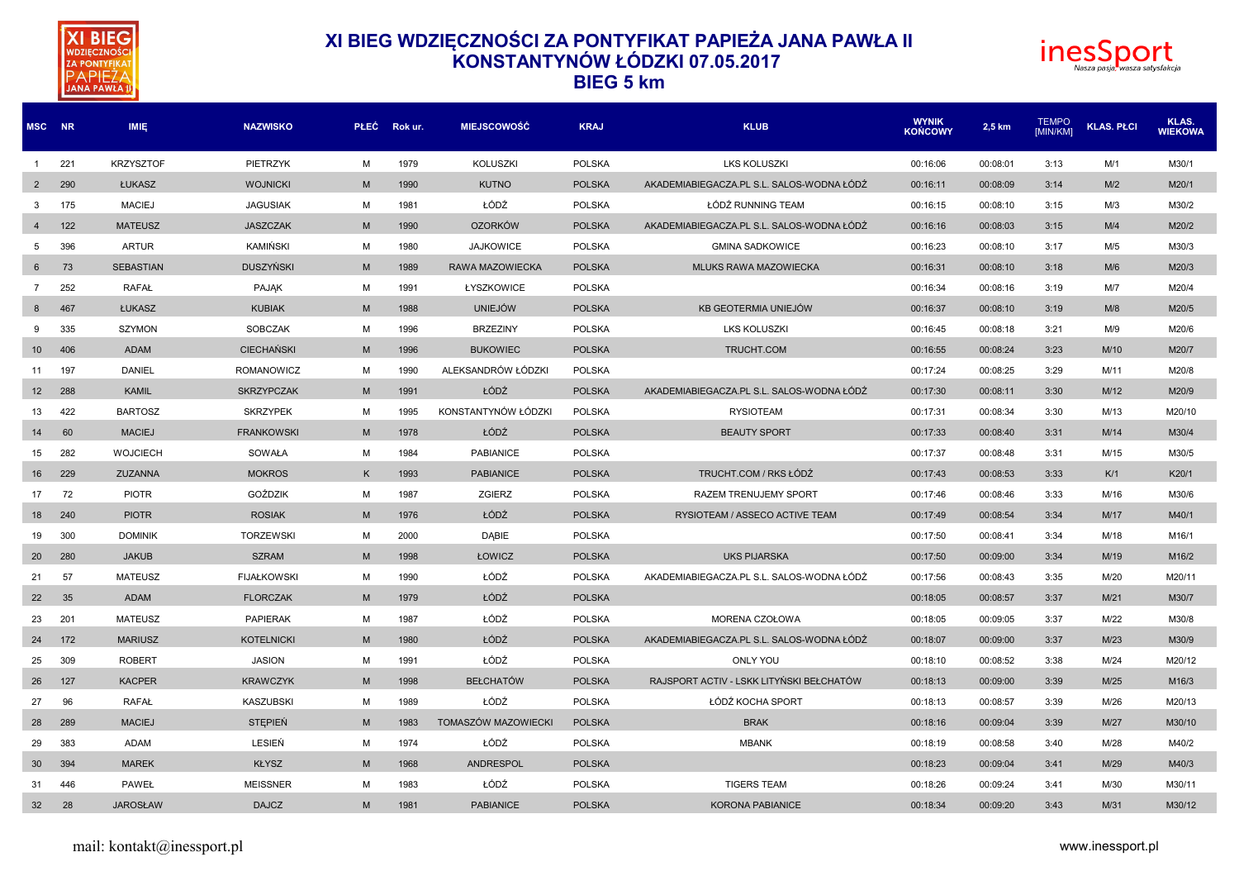



| MSC NR            |     | <b>IMIE</b>      | <b>NAZWISKO</b>    |   | PŁEC Rokur. | <b>MIEJSCOWOŚĆ</b>  | <b>KRAJ</b>   | <b>KLUB</b>                               | <b>WYNIK</b><br><b>KOŃCOWY</b> | 2,5 km   | <b>TEMPO</b><br>[MIN/KM] | <b>KLAS. PŁCI</b> | KLAS.<br><b>WIEKOWA</b> |
|-------------------|-----|------------------|--------------------|---|-------------|---------------------|---------------|-------------------------------------------|--------------------------------|----------|--------------------------|-------------------|-------------------------|
| $\overline{1}$    | 221 | <b>KRZYSZTOF</b> | PIETRZYK           | M | 1979        | <b>KOLUSZKI</b>     | <b>POLSKA</b> | <b>LKS KOLUSZKI</b>                       | 00:16:06                       | 00:08:01 | 3:13                     | M/1               | M30/1                   |
| $\overline{2}$    | 290 | ŁUKASZ           | <b>WOJNICKI</b>    | M | 1990        | <b>KUTNO</b>        | <b>POLSKA</b> | AKADEMIABIEGACZA.PL S.L. SALOS-WODNA ŁÓDŹ | 00:16:11                       | 00:08:09 | 3:14                     | M/2               | M20/1                   |
| 3                 | 175 | <b>MACIEJ</b>    | <b>JAGUSIAK</b>    | м | 1981        | ŁÓDŹ                | <b>POLSKA</b> | ŁÓDŹ RUNNING TEAM                         | 00:16:15                       | 00:08:10 | 3:15                     | M/3               | M30/2                   |
| $\overline{4}$    | 122 | <b>MATEUSZ</b>   | <b>JASZCZAK</b>    | M | 1990        | <b>OZORKÓW</b>      | <b>POLSKA</b> | AKADEMIABIEGACZA.PL S.L. SALOS-WODNA ŁÓDŹ | 00:16:16                       | 00:08:03 | 3:15                     | M/4               | M20/2                   |
| 5                 | 396 | <b>ARTUR</b>     | KAMIŃSKI           | M | 1980        | <b>JAJKOWICE</b>    | <b>POLSKA</b> | <b>GMINA SADKOWICE</b>                    | 00:16:23                       | 00:08:10 | 3:17                     | M/5               | M30/3                   |
| 6                 | 73  | <b>SEBASTIAN</b> | <b>DUSZYŃSKI</b>   | M | 1989        | RAWA MAZOWIECKA     | <b>POLSKA</b> | <b>MLUKS RAWA MAZOWIECKA</b>              | 00:16:31                       | 00:08:10 | 3:18                     | M/6               | M20/3                   |
| 7                 | 252 | <b>RAFAŁ</b>     | <b>PAJAK</b>       | м | 1991        | ŁYSZKOWICE          | <b>POLSKA</b> |                                           | 00:16:34                       | 00:08:16 | 3:19                     | M/7               | M20/4                   |
| 8                 | 467 | ŁUKASZ           | <b>KUBIAK</b>      | M | 1988        | <b>UNIEJÓW</b>      | <b>POLSKA</b> | KB GEOTERMIA UNIEJÓW                      | 00:16:37                       | 00:08:10 | 3:19                     | M/8               | M20/5                   |
| 9                 | 335 | <b>SZYMON</b>    | <b>SOBCZAK</b>     | M | 1996        | <b>BRZEZINY</b>     | <b>POLSKA</b> | <b>LKS KOLUSZKI</b>                       | 00:16:45                       | 00:08:18 | 3:21                     | M/9               | M20/6                   |
| 10 <sup>°</sup>   | 406 | <b>ADAM</b>      | <b>CIECHAŃSKI</b>  | M | 1996        | <b>BUKOWIEC</b>     | <b>POLSKA</b> | TRUCHT.COM                                | 00:16:55                       | 00:08:24 | 3:23                     | M/10              | M20/7                   |
| 11                | 197 | <b>DANIEL</b>    | <b>ROMANOWICZ</b>  | м | 1990        | ALEKSANDRÓW ŁÓDZKI  | <b>POLSKA</b> |                                           | 00:17:24                       | 00:08:25 | 3:29                     | M/11              | M20/8                   |
| $12 \overline{ }$ | 288 | <b>KAMIL</b>     | <b>SKRZYPCZAK</b>  | M | 1991        | ŁÓDŹ                | <b>POLSKA</b> | AKADEMIABIEGACZA.PL S.L. SALOS-WODNA ŁÓDŹ | 00:17:30                       | 00:08:11 | 3:30                     | M/12              | M20/9                   |
| 13                | 422 | <b>BARTOSZ</b>   | <b>SKRZYPEK</b>    | м | 1995        | KONSTANTYNÓW ŁÓDZKI | <b>POLSKA</b> | <b>RYSIOTEAM</b>                          | 00:17:31                       | 00:08:34 | 3:30                     | M/13              | M20/10                  |
| 14                | 60  | <b>MACIEJ</b>    | <b>FRANKOWSKI</b>  | M | 1978        | ŁÓDŹ                | <b>POLSKA</b> | <b>BEAUTY SPORT</b>                       | 00:17:33                       | 00:08:40 | 3:31                     | M/14              | M30/4                   |
| 15                | 282 | <b>WOJCIECH</b>  | SOWAŁA             | M | 1984        | <b>PABIANICE</b>    | <b>POLSKA</b> |                                           | 00:17:37                       | 00:08:48 | 3:31                     | M/15              | M30/5                   |
| 16                | 229 | ZUZANNA          | <b>MOKROS</b>      | K | 1993        | <b>PABIANICE</b>    | <b>POLSKA</b> | TRUCHT.COM / RKS ŁÓDŹ                     | 00:17:43                       | 00:08:53 | 3:33                     | K/1               | K20/1                   |
| 17                | 72  | <b>PIOTR</b>     | GOŹDZIK            | M | 1987        | ZGIERZ              | <b>POLSKA</b> | RAZEM TRENUJEMY SPORT                     | 00:17:46                       | 00:08:46 | 3:33                     | M/16              | M30/6                   |
| 18                | 240 | <b>PIOTR</b>     | <b>ROSIAK</b>      | M | 1976        | ŁÓDŹ                | <b>POLSKA</b> | RYSIOTEAM / ASSECO ACTIVE TEAM            | 00:17:49                       | 00:08:54 | 3:34                     | M/17              | M40/1                   |
| 19                | 300 | <b>DOMINIK</b>   | <b>TORZEWSKI</b>   | M | 2000        | <b>DABIE</b>        | <b>POLSKA</b> |                                           | 00:17:50                       | 00:08:41 | 3:34                     | M/18              | M16/1                   |
| 20                | 280 | <b>JAKUB</b>     | <b>SZRAM</b>       | M | 1998        | ŁOWICZ              | <b>POLSKA</b> | <b>UKS PIJARSKA</b>                       | 00:17:50                       | 00:09:00 | 3:34                     | M/19              | M16/2                   |
| 21                | 57  | <b>MATEUSZ</b>   | <b>FIJAŁKOWSKI</b> | M | 1990        | ŁÓDŹ                | <b>POLSKA</b> | AKADEMIABIEGACZA.PL S.L. SALOS-WODNA ŁÓDŹ | 00:17:56                       | 00:08:43 | 3:35                     | M/20              | M20/11                  |
| 22                | 35  | <b>ADAM</b>      | <b>FLORCZAK</b>    | M | 1979        | ŁÓDŹ                | <b>POLSKA</b> |                                           | 00:18:05                       | 00:08:57 | 3:37                     | M/21              | M30/7                   |
| 23                | 201 | <b>MATEUSZ</b>   | <b>PAPIERAK</b>    | M | 1987        | ŁÓDŹ                | <b>POLSKA</b> | MORENA CZOŁOWA                            | 00:18:05                       | 00:09:05 | 3:37                     | M/22              | M30/8                   |
| 24                | 172 | <b>MARIUSZ</b>   | <b>KOTELNICKI</b>  | M | 1980        | ŁÓDŹ                | <b>POLSKA</b> | AKADEMIABIEGACZA.PL S.L. SALOS-WODNA ŁÓDŹ | 00:18:07                       | 00:09:00 | 3:37                     | M/23              | M30/9                   |
| 25                | 309 | <b>ROBERT</b>    | <b>JASION</b>      | M | 1991        | ŁÓDŹ                | <b>POLSKA</b> | <b>ONLY YOU</b>                           | 00:18:10                       | 00:08:52 | 3:38                     | M/24              | M20/12                  |
| 26                | 127 | <b>KACPER</b>    | <b>KRAWCZYK</b>    | M | 1998        | <b>BEŁCHATÓW</b>    | <b>POLSKA</b> | RAJSPORT ACTIV - LSKK LITYŃSKI BEŁCHATÓW  | 00:18:13                       | 00:09:00 | 3:39                     | M/25              | M16/3                   |
| 27                | 96  | <b>RAFAŁ</b>     | <b>KASZUBSKI</b>   | м | 1989        | ŁÓDŹ                | <b>POLSKA</b> | ŁÓDŹ KOCHA SPORT                          | 00:18:13                       | 00:08:57 | 3:39                     | M/26              | M20/13                  |
| 28                | 289 | <b>MACIEJ</b>    | <b>STEPIEN</b>     | M | 1983        | TOMASZÓW MAZOWIECKI | <b>POLSKA</b> | <b>BRAK</b>                               | 00:18:16                       | 00:09:04 | 3:39                     | M/27              | M30/10                  |
| 29                | 383 | ADAM             | LESIEŃ             | м | 1974        | ŁÓDŹ                | <b>POLSKA</b> | <b>MBANK</b>                              | 00:18:19                       | 00:08:58 | 3:40                     | M/28              | M40/2                   |
| 30                | 394 | <b>MAREK</b>     | <b>KŁYSZ</b>       | M | 1968        | <b>ANDRESPOL</b>    | <b>POLSKA</b> |                                           | 00:18:23                       | 00:09:04 | 3:41                     | M/29              | M40/3                   |
| 31                | 446 | PAWEŁ            | <b>MEISSNER</b>    | м | 1983        | ŁÓDŹ                | <b>POLSKA</b> | <b>TIGERS TEAM</b>                        | 00:18:26                       | 00:09:24 | 3:41                     | M/30              | M30/11                  |
| 32 <sup>2</sup>   | 28  | <b>JAROSŁAW</b>  | <b>DAJCZ</b>       | M | 1981        | <b>PABIANICE</b>    | <b>POLSKA</b> | <b>KORONA PABIANICE</b>                   | 00:18:34                       | 00:09:20 | 3:43                     | M/31              | M30/12                  |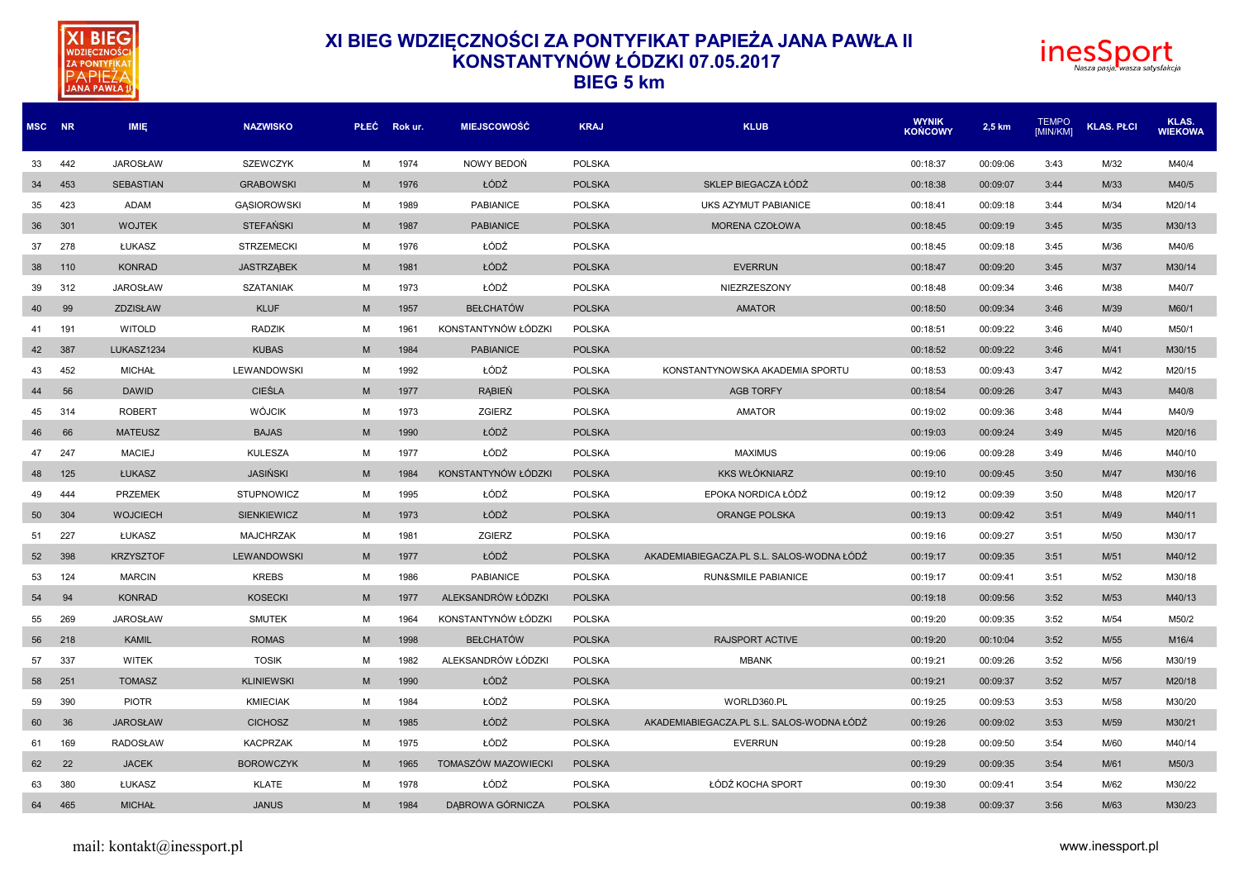



| MSC NR |     | <b>IMIE</b>      | <b>NAZWISKO</b>    |   | PŁEC Rokur. | <b>MIEJSCOWOŚĆ</b>  | <b>KRAJ</b>   | <b>KLUB</b>                               | <b>WYNIK</b><br><b>KONCOWY</b> | 2,5 km   | <b>TEMPO</b><br><b>IMIN/KMI</b> | <b>KLAS. PŁCI</b> | KLAS.<br><b>WIEKOWA</b> |
|--------|-----|------------------|--------------------|---|-------------|---------------------|---------------|-------------------------------------------|--------------------------------|----------|---------------------------------|-------------------|-------------------------|
| 33     | 442 | <b>JAROSŁAW</b>  | <b>SZEWCZYK</b>    | M | 1974        | NOWY BEDOŃ          | <b>POLSKA</b> |                                           | 00:18:37                       | 00:09:06 | 3:43                            | M/32              | M40/4                   |
| 34     | 453 | <b>SEBASTIAN</b> | <b>GRABOWSKI</b>   | M | 1976        | ŁÓDŹ                | <b>POLSKA</b> | SKLEP BIEGACZA ŁÓDŹ                       | 00:18:38                       | 00:09:07 | 3:44                            | M/33              | M40/5                   |
| 35     | 423 | <b>ADAM</b>      | <b>GASIOROWSKI</b> | M | 1989        | <b>PABIANICE</b>    | <b>POLSKA</b> | UKS AZYMUT PABIANICE                      | 00:18:41                       | 00:09:18 | 3:44                            | M/34              | M20/14                  |
| 36     | 301 | <b>WOJTEK</b>    | <b>STEFAŃSKI</b>   | M | 1987        | <b>PABIANICE</b>    | <b>POLSKA</b> | MORENA CZOŁOWA                            | 00:18:45                       | 00:09:19 | 3:45                            | M/35              | M30/13                  |
| 37     | 278 | ŁUKASZ           | <b>STRZEMECKI</b>  | м | 1976        | ŁÓDŹ                | <b>POLSKA</b> |                                           | 00:18:45                       | 00:09:18 | 3:45                            | M/36              | M40/6                   |
| 38     | 110 | <b>KONRAD</b>    | <b>JASTRZĄBEK</b>  | M | 1981        | ŁÓDŹ                | <b>POLSKA</b> | <b>EVERRUN</b>                            | 00:18:47                       | 00:09:20 | 3:45                            | M/37              | M30/14                  |
| 39     | 312 | <b>JAROSŁAW</b>  | <b>SZATANIAK</b>   | M | 1973        | ŁÓDŹ                | <b>POLSKA</b> | NIEZRZESZONY                              | 00:18:48                       | 00:09:34 | 3:46                            | M/38              | M40/7                   |
| 40     | 99  | ZDZISŁAW         | <b>KLUF</b>        | M | 1957        | <b>BEŁCHATÓW</b>    | <b>POLSKA</b> | <b>AMATOR</b>                             | 00:18:50                       | 00:09:34 | 3:46                            | M/39              | M60/1                   |
| 41     | 191 | <b>WITOLD</b>    | <b>RADZIK</b>      | M | 1961        | KONSTANTYNÓW ŁÓDZKI | POLSKA        |                                           | 00:18:51                       | 00:09:22 | 3:46                            | M/40              | M50/1                   |
| 42     | 387 | LUKASZ1234       | <b>KUBAS</b>       | M | 1984        | <b>PABIANICE</b>    | <b>POLSKA</b> |                                           | 00:18:52                       | 00:09:22 | 3:46                            | M/41              | M30/15                  |
| 43     | 452 | <b>MICHAŁ</b>    | LEWANDOWSKI        | M | 1992        | ŁÓDŹ                | <b>POLSKA</b> | KONSTANTYNOWSKA AKADEMIA SPORTU           | 00:18:53                       | 00:09:43 | 3:47                            | M/42              | M20/15                  |
| 44     | 56  | <b>DAWID</b>     | <b>CIEŚLA</b>      | M | 1977        | <b>RABIEN</b>       | <b>POLSKA</b> | <b>AGB TORFY</b>                          | 00:18:54                       | 00:09:26 | 3:47                            | M/43              | M40/8                   |
| 45     | 314 | <b>ROBERT</b>    | <b>WÓJCIK</b>      | M | 1973        | <b>ZGIERZ</b>       | <b>POLSKA</b> | <b>AMATOR</b>                             | 00:19:02                       | 00:09:36 | 3:48                            | M/44              | M40/9                   |
| 46     | 66  | <b>MATEUSZ</b>   | <b>BAJAS</b>       | M | 1990        | ŁÓDŹ                | <b>POLSKA</b> |                                           | 00:19:03                       | 00:09:24 | 3:49                            | M/45              | M20/16                  |
| 47     | 247 | <b>MACIEJ</b>    | <b>KULESZA</b>     | м | 1977        | ŁÓDŹ                | <b>POLSKA</b> | <b>MAXIMUS</b>                            | 00:19:06                       | 00:09:28 | 3:49                            | M/46              | M40/10                  |
| 48     | 125 | ŁUKASZ           | <b>JASIŃSKI</b>    | M | 1984        | KONSTANTYNÓW ŁÓDZKI | <b>POLSKA</b> | <b>KKS WŁÓKNIARZ</b>                      | 00:19:10                       | 00:09:45 | 3:50                            | M/47              | M30/16                  |
| 49     | 444 | <b>PRZEMEK</b>   | <b>STUPNOWICZ</b>  | M | 1995        | ŁÓDŹ                | <b>POLSKA</b> | EPOKA NORDICA ŁÓDŹ                        | 00:19:12                       | 00:09:39 | 3:50                            | M/48              | M20/17                  |
| 50     | 304 | <b>WOJCIECH</b>  | <b>SIENKIEWICZ</b> | M | 1973        | ŁÓDŹ                | <b>POLSKA</b> | <b>ORANGE POLSKA</b>                      | 00:19:13                       | 00:09:42 | 3:51                            | M/49              | M40/11                  |
| 51     | 227 | ŁUKASZ           | <b>MAJCHRZAK</b>   | м | 1981        | ZGIERZ              | <b>POLSKA</b> |                                           | 00:19:16                       | 00:09:27 | 3:51                            | M/50              | M30/17                  |
| 52     | 398 | <b>KRZYSZTOF</b> | <b>LEWANDOWSKI</b> | M | 1977        | ŁÓDŹ                | <b>POLSKA</b> | AKADEMIABIEGACZA.PL S.L. SALOS-WODNA ŁÓDŹ | 00:19:17                       | 00:09:35 | 3:51                            | M/51              | M40/12                  |
| 53     | 124 | <b>MARCIN</b>    | <b>KREBS</b>       | M | 1986        | <b>PABIANICE</b>    | <b>POLSKA</b> | <b>RUN&amp;SMILE PABIANICE</b>            | 00:19:17                       | 00:09:41 | 3:51                            | M/52              | M30/18                  |
| 54     | 94  | <b>KONRAD</b>    | <b>KOSECKI</b>     | M | 1977        | ALEKSANDRÓW ŁÓDZKI  | <b>POLSKA</b> |                                           | 00:19:18                       | 00:09:56 | 3:52                            | M/53              | M40/13                  |
| 55     | 269 | <b>JAROSŁAW</b>  | <b>SMUTEK</b>      | M | 1964        | KONSTANTYNÓW ŁÓDZKI | <b>POLSKA</b> |                                           | 00:19:20                       | 00:09:35 | 3:52                            | M/54              | M50/2                   |
| 56     | 218 | <b>KAMIL</b>     | <b>ROMAS</b>       | M | 1998        | <b>BEŁCHATÓW</b>    | <b>POLSKA</b> | <b>RAJSPORT ACTIVE</b>                    | 00:19:20                       | 00:10:04 | 3:52                            | M/55              | M16/4                   |
| 57     | 337 | <b>WITEK</b>     | <b>TOSIK</b>       | M | 1982        | ALEKSANDRÓW ŁÓDZKI  | <b>POLSKA</b> | <b>MBANK</b>                              | 00:19:21                       | 00:09:26 | 3:52                            | M/56              | M30/19                  |
| 58     | 251 | <b>TOMASZ</b>    | <b>KLINIEWSKI</b>  | M | 1990        | ŁÓDŹ                | <b>POLSKA</b> |                                           | 00:19:21                       | 00:09:37 | 3:52                            | M/57              | M20/18                  |
| 59     | 390 | <b>PIOTR</b>     | <b>KMIECIAK</b>    | M | 1984        | ŁÓDŹ                | <b>POLSKA</b> | WORLD360.PL                               | 00:19:25                       | 00:09:53 | 3:53                            | M/58              | M30/20                  |
| 60     | 36  | <b>JAROSŁAW</b>  | <b>CICHOSZ</b>     | M | 1985        | ŁÓDŹ                | <b>POLSKA</b> | AKADEMIABIEGACZA.PL S.L. SALOS-WODNA ŁÓDŹ | 00:19:26                       | 00:09:02 | 3:53                            | M/59              | M30/21                  |
| 61     | 169 | <b>RADOSŁAW</b>  | <b>KACPRZAK</b>    | м | 1975        | ŁÓDŹ                | <b>POLSKA</b> | <b>EVERRUN</b>                            | 00:19:28                       | 00:09:50 | 3:54                            | M/60              | M40/14                  |
| 62     | 22  | <b>JACEK</b>     | <b>BOROWCZYK</b>   | M | 1965        | TOMASZÓW MAZOWIECKI | <b>POLSKA</b> |                                           | 00:19:29                       | 00:09:35 | 3:54                            | M/61              | M50/3                   |
| 63     | 380 | ŁUKASZ           | <b>KLATE</b>       | M | 1978        | ŁÓDŹ                | <b>POLSKA</b> | ŁÓDŹ KOCHA SPORT                          | 00:19:30                       | 00:09:41 | 3:54                            | M/62              | M30/22                  |
| 64     | 465 | <b>MICHAŁ</b>    | <b>JANUS</b>       | M | 1984        | DABROWA GÓRNICZA    | <b>POLSKA</b> |                                           | 00:19:38                       | 00:09:37 | 3:56                            | M/63              | M30/23                  |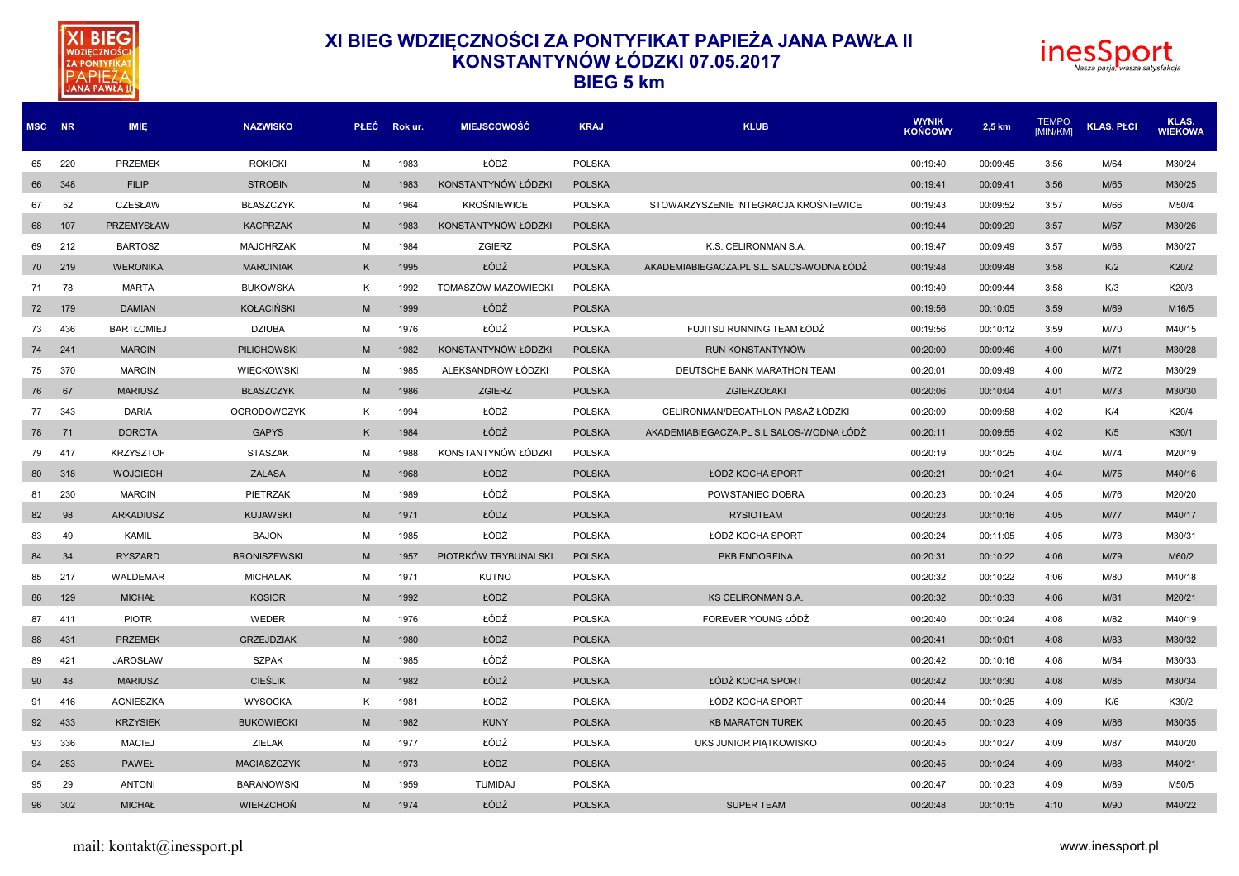



| MSC NR |     | <b>IMIE</b>       | <b>NAZWISKO</b>     |   | PŁEĆ Rokur. | <b>MIEJSCOWOŚĆ</b>   | <b>KRAJ</b>   | <b>KLUB</b>                               | <b>WYNIK</b><br><b>KOŃCOWY</b> | 2,5 km   | <b>TEMPO</b><br><b>IMIN/KMI</b> | <b>KLAS. PŁCI</b> | KLAS.<br><b>WIEKOWA</b> |
|--------|-----|-------------------|---------------------|---|-------------|----------------------|---------------|-------------------------------------------|--------------------------------|----------|---------------------------------|-------------------|-------------------------|
| 65     | 220 | <b>PRZEMEK</b>    | <b>ROKICKI</b>      | M | 1983        | ŁÓDŹ                 | <b>POLSKA</b> |                                           | 00:19:40                       | 00:09:45 | 3:56                            | M/64              | M30/24                  |
| 66     | 348 | <b>FILIP</b>      | <b>STROBIN</b>      | M | 1983        | KONSTANTYNÓW ŁÓDZKI  | <b>POLSKA</b> |                                           | 00:19:41                       | 00:09:41 | 3:56                            | M/65              | M30/25                  |
| 67     | 52  | CZESŁAW           | <b>BŁASZCZYK</b>    | м | 1964        | <b>KROŚNIEWICE</b>   | <b>POLSKA</b> | STOWARZYSZENIE INTEGRACJA KROŚNIEWICE     | 00:19:43                       | 00:09:52 | 3:57                            | M/66              | M50/4                   |
| 68     | 107 | <b>PRZEMYSŁAW</b> | <b>KACPRZAK</b>     | M | 1983        | KONSTANTYNÓW ŁÓDZKI  | <b>POLSKA</b> |                                           | 00:19:44                       | 00:09:29 | 3:57                            | M/67              | M30/26                  |
| 69     | 212 | <b>BARTOSZ</b>    | <b>MAJCHRZAK</b>    | M | 1984        | ZGIERZ               | <b>POLSKA</b> | K.S. CELIRONMAN S.A.                      | 00:19:47                       | 00:09:49 | 3:57                            | M/68              | M30/27                  |
| 70     | 219 | <b>WERONIKA</b>   | <b>MARCINIAK</b>    | K | 1995        | ŁÓDŹ                 | <b>POLSKA</b> | AKADEMIABIEGACZA.PL S.L. SALOS-WODNA ŁÓDŹ | 00:19:48                       | 00:09:48 | 3:58                            | K/2               | K20/2                   |
| 71     | 78  | <b>MARTA</b>      | <b>BUKOWSKA</b>     | K | 1992        | TOMASZÓW MAZOWIECKI  | <b>POLSKA</b> |                                           | 00:19:49                       | 00:09:44 | 3:58                            | K/3               | K20/3                   |
| 72     | 179 | <b>DAMIAN</b>     | <b>KOŁACIŃSKI</b>   | M | 1999        | ŁÓDŹ                 | <b>POLSKA</b> |                                           | 00:19:56                       | 00:10:05 | 3:59                            | M/69              | M16/5                   |
| 73     | 436 | <b>BARTŁOMIEJ</b> | <b>DZIUBA</b>       | M | 1976        | ŁÓDŹ                 | <b>POLSKA</b> | FUJITSU RUNNING TEAM ŁÓDŹ                 | 00:19:56                       | 00:10:12 | 3:59                            | M/70              | M40/15                  |
| 74     | 241 | <b>MARCIN</b>     | <b>PILICHOWSKI</b>  | M | 1982        | KONSTANTYNÓW ŁÓDZKI  | <b>POLSKA</b> | RUN KONSTANTYNÓW                          | 00:20:00                       | 00:09:46 | 4:00                            | M/71              | M30/28                  |
| 75     | 370 | <b>MARCIN</b>     | WIECKOWSKI          | м | 1985        | ALEKSANDRÓW ŁÓDZKI   | <b>POLSKA</b> | DEUTSCHE BANK MARATHON TEAM               | 00:20:01                       | 00:09:49 | 4:00                            | M/72              | M30/29                  |
| 76     | 67  | <b>MARIUSZ</b>    | <b>BŁASZCZYK</b>    | M | 1986        | <b>ZGIERZ</b>        | <b>POLSKA</b> | ZGIERZOŁAKI                               | 00:20:06                       | 00:10:04 | 4:01                            | M/73              | M30/30                  |
| 77     | 343 | <b>DARIA</b>      | <b>OGRODOWCZYK</b>  | К | 1994        | ŁÓDŹ                 | POLSKA        | CELIRONMAN/DECATHLON PASAŻ ŁÓDZKI         | 00:20:09                       | 00:09:58 | 4:02                            | K/4               | K20/4                   |
| 78     | 71  | <b>DOROTA</b>     | <b>GAPYS</b>        | K | 1984        | ŁÓDŹ                 | <b>POLSKA</b> | AKADEMIABIEGACZA.PL S.L SALOS-WODNA ŁÓDŹ  | 00:20:11                       | 00:09:55 | 4:02                            | K/5               | K30/1                   |
| 79     | 417 | <b>KRZYSZTOF</b>  | <b>STASZAK</b>      | M | 1988        | KONSTANTYNÓW ŁÓDZKI  | <b>POLSKA</b> |                                           | 00:20:19                       | 00:10:25 | 4:04                            | M/74              | M20/19                  |
| 80     | 318 | <b>WOJCIECH</b>   | <b>ZALASA</b>       | M | 1968        | ŁÓDŹ                 | <b>POLSKA</b> | ŁÓDŹ KOCHA SPORT                          | 00:20:21                       | 00:10:21 | 4:04                            | M/75              | M40/16                  |
| 81     | 230 | <b>MARCIN</b>     | PIETRZAK            | м | 1989        | ŁÓDŹ                 | <b>POLSKA</b> | POWSTANIEC DOBRA                          | 00:20:23                       | 00:10:24 | 4:05                            | M/76              | M20/20                  |
| 82     | 98  | <b>ARKADIUSZ</b>  | <b>KUJAWSKI</b>     | M | 1971        | ŁÓDZ                 | <b>POLSKA</b> | <b>RYSIOTEAM</b>                          | 00:20:23                       | 00:10:16 | 4:05                            | M/77              | M40/17                  |
| 83     | 49  | <b>KAMIL</b>      | <b>BAJON</b>        | M | 1985        | ŁÓDŹ                 | <b>POLSKA</b> | ŁÓDŹ KOCHA SPORT                          | 00:20:24                       | 00:11:05 | 4:05                            | M/78              | M30/31                  |
| 84     | 34  | <b>RYSZARD</b>    | <b>BRONISZEWSKI</b> | M | 1957        | PIOTRKÓW TRYBUNALSKI | <b>POLSKA</b> | PKB ENDORFINA                             | 00:20:31                       | 00:10:22 | 4:06                            | M/79              | M60/2                   |
| 85     | 217 | WALDEMAR          | <b>MICHALAK</b>     | м | 1971        | <b>KUTNO</b>         | <b>POLSKA</b> |                                           | 00:20:32                       | 00:10:22 | 4:06                            | M/80              | M40/18                  |
| 86     | 129 | <b>MICHAŁ</b>     | <b>KOSIOR</b>       | M | 1992        | ŁÓDŹ                 | <b>POLSKA</b> | <b>KS CELIRONMAN S.A.</b>                 | 00:20:32                       | 00:10:33 | 4:06                            | M/81              | M20/21                  |
| 87     | 411 | <b>PIOTR</b>      | WEDER               | M | 1976        | ŁÓDŹ                 | <b>POLSKA</b> | FOREVER YOUNG ŁÓDŹ                        | 00:20:40                       | 00:10:24 | 4:08                            | M/82              | M40/19                  |
| 88     | 431 | <b>PRZEMEK</b>    | <b>GRZEJDZIAK</b>   | M | 1980        | ŁÓDŹ                 | <b>POLSKA</b> |                                           | 00:20:41                       | 00:10:01 | 4:08                            | M/83              | M30/32                  |
| 89     | 421 | <b>JAROSŁAW</b>   | <b>SZPAK</b>        | M | 1985        | ŁÓDŹ                 | <b>POLSKA</b> |                                           | 00:20:42                       | 00:10:16 | 4:08                            | M/84              | M30/33                  |
| 90     | 48  | <b>MARIUSZ</b>    | <b>CIEŚLIK</b>      | M | 1982        | ŁÓDŹ                 | <b>POLSKA</b> | ŁÓDŹ KOCHA SPORT                          | 00:20:42                       | 00:10:30 | 4:08                            | M/85              | M30/34                  |
| 91     | 416 | AGNIESZKA         | <b>WYSOCKA</b>      | K | 1981        | ŁÓDŹ                 | <b>POLSKA</b> | ŁÓDŹ KOCHA SPORT                          | 00:20:44                       | 00:10:25 | 4:09                            | K/6               | K30/2                   |
| 92     | 433 | <b>KRZYSIEK</b>   | <b>BUKOWIECKI</b>   | M | 1982        | <b>KUNY</b>          | <b>POLSKA</b> | <b>KB MARATON TUREK</b>                   | 00:20:45                       | 00:10:23 | 4:09                            | M/86              | M30/35                  |
| 93     | 336 | <b>MACIEJ</b>     | <b>ZIELAK</b>       | M | 1977        | ŁÓDŹ                 | <b>POLSKA</b> | UKS JUNIOR PIATKOWISKO                    | 00:20:45                       | 00:10:27 | 4:09                            | M/87              | M40/20                  |
| 94     | 253 | <b>PAWEŁ</b>      | <b>MACIASZCZYK</b>  | M | 1973        | ŁÓDZ                 | <b>POLSKA</b> |                                           | 00:20:45                       | 00:10:24 | 4:09                            | M/88              | M40/21                  |
| 95     | 29  | <b>ANTONI</b>     | <b>BARANOWSKI</b>   | м | 1959        | <b>TUMIDAJ</b>       | <b>POLSKA</b> |                                           | 00:20:47                       | 00:10:23 | 4:09                            | M/89              | M50/5                   |
| 96     | 302 | <b>MICHAŁ</b>     | <b>WIERZCHOŃ</b>    | M | 1974        | ŁÓDŹ                 | <b>POLSKA</b> | <b>SUPER TEAM</b>                         | 00:20:48                       | 00:10:15 | 4:10                            | M/90              | M40/22                  |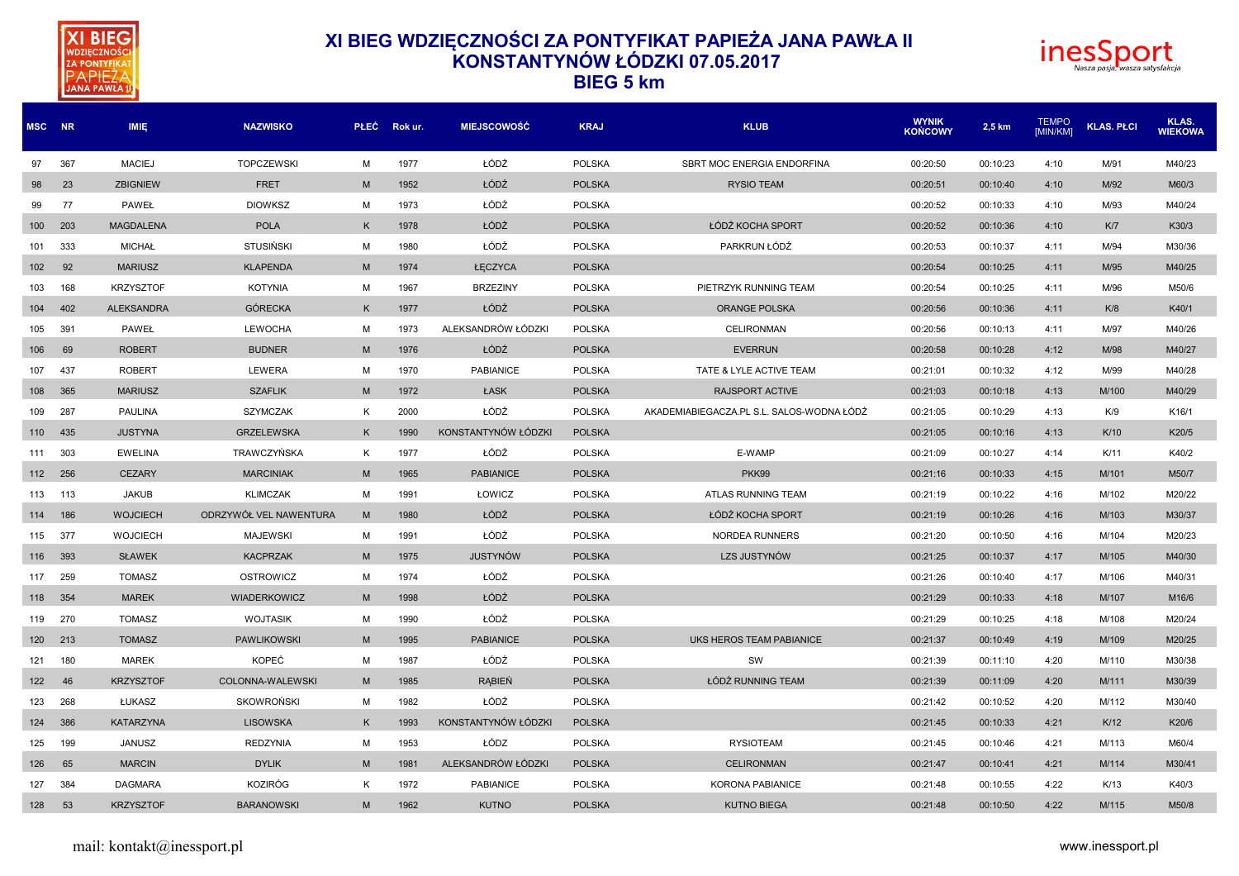



| MSC NR |     | IMIĘ              | <b>NAZWISKO</b>         |   | PŁEC Rokur. | <b>MIEJSCOWOŚĆ</b>  | <b>KRAJ</b>   | <b>KLUB</b>                               | <b>WYNIK</b><br><b>KONCOWY</b> | 2,5 km   | <b>TEMPO</b><br><b>IMIN/KMI</b> | <b>KLAS. PŁCI</b> | KLAS.<br><b>WIEKOWA</b> |
|--------|-----|-------------------|-------------------------|---|-------------|---------------------|---------------|-------------------------------------------|--------------------------------|----------|---------------------------------|-------------------|-------------------------|
| 97     | 367 | <b>MACIEJ</b>     | <b>TOPCZEWSKI</b>       | м | 1977        | ŁÓDŹ                | <b>POLSKA</b> | SBRT MOC ENERGIA ENDORFINA                | 00:20:50                       | 00:10:23 | 4:10                            | M/91              | M40/23                  |
| 98     | 23  | <b>ZBIGNIEW</b>   | <b>FRET</b>             | M | 1952        | ŁÓDŹ                | <b>POLSKA</b> | <b>RYSIO TEAM</b>                         | 00:20:51                       | 00:10:40 | 4:10                            | M/92              | M60/3                   |
| 99     | 77  | PAWEŁ             | <b>DIOWKSZ</b>          | м | 1973        | ŁÓDŹ                | <b>POLSKA</b> |                                           | 00:20:52                       | 00:10:33 | 4:10                            | M/93              | M40/24                  |
| 100    | 203 | <b>MAGDALENA</b>  | <b>POLA</b>             | K | 1978        | ŁÓDŹ                | <b>POLSKA</b> | ŁÓDŹ KOCHA SPORT                          | 00:20:52                       | 00:10:36 | 4:10                            | K/T               | K30/3                   |
| 101    | 333 | <b>MICHAŁ</b>     | <b>STUSIŃSKI</b>        | M | 1980        | ŁÓDŹ                | <b>POLSKA</b> | PARKRUN ŁÓDŹ                              | 00:20:53                       | 00:10:37 | 4:11                            | M/94              | M30/36                  |
| 102    | 92  | <b>MARIUSZ</b>    | <b>KLAPENDA</b>         | M | 1974        | ŁECZYCA             | <b>POLSKA</b> |                                           | 00:20:54                       | 00:10:25 | 4:11                            | M/95              | M40/25                  |
| 103    | 168 | <b>KRZYSZTOF</b>  | <b>KOTYNIA</b>          | M | 1967        | <b>BRZEZINY</b>     | <b>POLSKA</b> | PIETRZYK RUNNING TEAM                     | 00:20:54                       | 00:10:25 | 4:11                            | M/96              | M50/6                   |
| 104    | 402 | <b>ALEKSANDRA</b> | <b>GÓRECKA</b>          | K | 1977        | ŁÓDŹ                | <b>POLSKA</b> | <b>ORANGE POLSKA</b>                      | 00:20:56                       | 00:10:36 | 4:11                            | K/8               | K40/1                   |
| 105    | 391 | PAWEŁ             | <b>LEWOCHA</b>          | M | 1973        | ALEKSANDRÓW ŁÓDZKI  | <b>POLSKA</b> | <b>CELIRONMAN</b>                         | 00:20:56                       | 00:10:13 | 4:11                            | M/97              | M40/26                  |
| 106    | 69  | <b>ROBERT</b>     | <b>BUDNER</b>           | M | 1976        | ŁÓDŹ                | <b>POLSKA</b> | <b>EVERRUN</b>                            | 00:20:58                       | 00:10:28 | 4:12                            | M/98              | M40/27                  |
| 107    | 437 | <b>ROBERT</b>     | LEWERA                  | M | 1970        | <b>PABIANICE</b>    | <b>POLSKA</b> | TATE & LYLE ACTIVE TEAM                   | 00:21:01                       | 00:10:32 | 4:12                            | M/99              | M40/28                  |
| 108    | 365 | <b>MARIUSZ</b>    | <b>SZAFLIK</b>          | M | 1972        | ŁASK                | <b>POLSKA</b> | <b>RAJSPORT ACTIVE</b>                    | 00:21:03                       | 00:10:18 | 4:13                            | M/100             | M40/29                  |
| 109    | 287 | PAULINA           | <b>SZYMCZAK</b>         | K | 2000        | ŁÓDŹ                | <b>POLSKA</b> | AKADEMIABIEGACZA.PL S.L. SALOS-WODNA ŁÓDŹ | 00:21:05                       | 00:10:29 | 4:13                            | K/9               | K16/1                   |
| 110    | 435 | <b>JUSTYNA</b>    | <b>GRZELEWSKA</b>       | K | 1990        | KONSTANTYNÓW ŁÓDZKI | <b>POLSKA</b> |                                           | 00:21:05                       | 00:10:16 | 4:13                            | K/10              | K20/5                   |
| 111    | 303 | <b>EWELINA</b>    | TRAWCZYŃSKA             | K | 1977        | ŁÓDŹ                | <b>POLSKA</b> | E-WAMP                                    | 00:21:09                       | 00:10:27 | 4:14                            | K/11              | K40/2                   |
| 112    | 256 | <b>CEZARY</b>     | <b>MARCINIAK</b>        | M | 1965        | <b>PABIANICE</b>    | <b>POLSKA</b> | <b>PKK99</b>                              | 00:21:16                       | 00:10:33 | 4:15                            | M/101             | M50/7                   |
| 113    | 113 | <b>JAKUB</b>      | <b>KLIMCZAK</b>         | M | 1991        | ŁOWICZ              | <b>POLSKA</b> | ATLAS RUNNING TEAM                        | 00:21:19                       | 00:10:22 | 4:16                            | M/102             | M20/22                  |
| 114    | 186 | <b>WOJCIECH</b>   | ODRZYWÓŁ VEL NAWENTURA  | M | 1980        | ŁÓDŹ                | <b>POLSKA</b> | ŁÓDŹ KOCHA SPORT                          | 00:21:19                       | 00:10:26 | 4:16                            | M/103             | M30/37                  |
| 115    | 377 | <b>WOJCIECH</b>   | <b>MAJEWSKI</b>         | M | 1991        | ŁÓDŹ                | <b>POLSKA</b> | <b>NORDEA RUNNERS</b>                     | 00:21:20                       | 00:10:50 | 4:16                            | M/104             | M20/23                  |
| 116    | 393 | <b>SŁAWEK</b>     | <b>KACPRZAK</b>         | M | 1975        | <b>JUSTYNÓW</b>     | <b>POLSKA</b> | LZS JUSTYNÓW                              | 00:21:25                       | 00:10:37 | 4:17                            | M/105             | M40/30                  |
| 117    | 259 | <b>TOMASZ</b>     | OSTROWICZ               | M | 1974        | ŁÓDŹ                | <b>POLSKA</b> |                                           | 00:21:26                       | 00:10:40 | 4:17                            | M/106             | M40/31                  |
| 118    | 354 | <b>MAREK</b>      | WIADERKOWICZ            | M | 1998        | ŁÓDŹ                | <b>POLSKA</b> |                                           | 00:21:29                       | 00:10:33 | 4:18                            | M/107             | M16/6                   |
| 119    | 270 | <b>TOMASZ</b>     | <b>WOJTASIK</b>         | M | 1990        | ŁÓDŹ                | <b>POLSKA</b> |                                           | 00:21:29                       | 00:10:25 | 4:18                            | M/108             | M20/24                  |
| 120    | 213 | <b>TOMASZ</b>     | <b>PAWLIKOWSKI</b>      | M | 1995        | <b>PABIANICE</b>    | <b>POLSKA</b> | <b>UKS HEROS TEAM PABIANICE</b>           | 00:21:37                       | 00:10:49 | 4:19                            | M/109             | M20/25                  |
| 121    | 180 | <b>MAREK</b>      | KOPEĆ                   | M | 1987        | ŁÓDŹ                | <b>POLSKA</b> | SW                                        | 00:21:39                       | 00:11:10 | 4:20                            | M/110             | M30/38                  |
| 122    | 46  | <b>KRZYSZTOF</b>  | <b>COLONNA-WALEWSKI</b> | M | 1985        | <b>RABIEŃ</b>       | <b>POLSKA</b> | ŁÓDŹ RUNNING TEAM                         | 00:21:39                       | 00:11:09 | 4:20                            | M/111             | M30/39                  |
| 123    | 268 | ŁUKASZ            | <b>SKOWROŃSKI</b>       | м | 1982        | ŁÓDŹ                | <b>POLSKA</b> |                                           | 00:21:42                       | 00:10:52 | 4:20                            | M/112             | M30/40                  |
| 124    | 386 | <b>KATARZYNA</b>  | <b>LISOWSKA</b>         | K | 1993        | KONSTANTYNÓW ŁÓDZKI | <b>POLSKA</b> |                                           | 00:21:45                       | 00:10:33 | 4:21                            | K/12              | K20/6                   |
| 125    | 199 | JANUSZ            | <b>REDZYNIA</b>         | M | 1953        | ŁÓDZ                | <b>POLSKA</b> | <b>RYSIOTEAM</b>                          | 00:21:45                       | 00:10:46 | 4:21                            | M/113             | M60/4                   |
| 126    | 65  | <b>MARCIN</b>     | <b>DYLIK</b>            | M | 1981        | ALEKSANDRÓW ŁÓDZKI  | <b>POLSKA</b> | <b>CELIRONMAN</b>                         | 00:21:47                       | 00:10:41 | 4:21                            | M/114             | M30/41                  |
| 127    | 384 | <b>DAGMARA</b>    | <b>KOZIRÓG</b>          | K | 1972        | <b>PABIANICE</b>    | <b>POLSKA</b> | <b>KORONA PABIANICE</b>                   | 00:21:48                       | 00:10:55 | 4:22                            | K/13              | K40/3                   |
| 128    | 53  | <b>KRZYSZTOF</b>  | <b>BARANOWSKI</b>       | M | 1962        | <b>KUTNO</b>        | <b>POLSKA</b> | <b>KUTNO BIEGA</b>                        | 00:21:48                       | 00:10:50 | 4:22                            | M/115             | M50/8                   |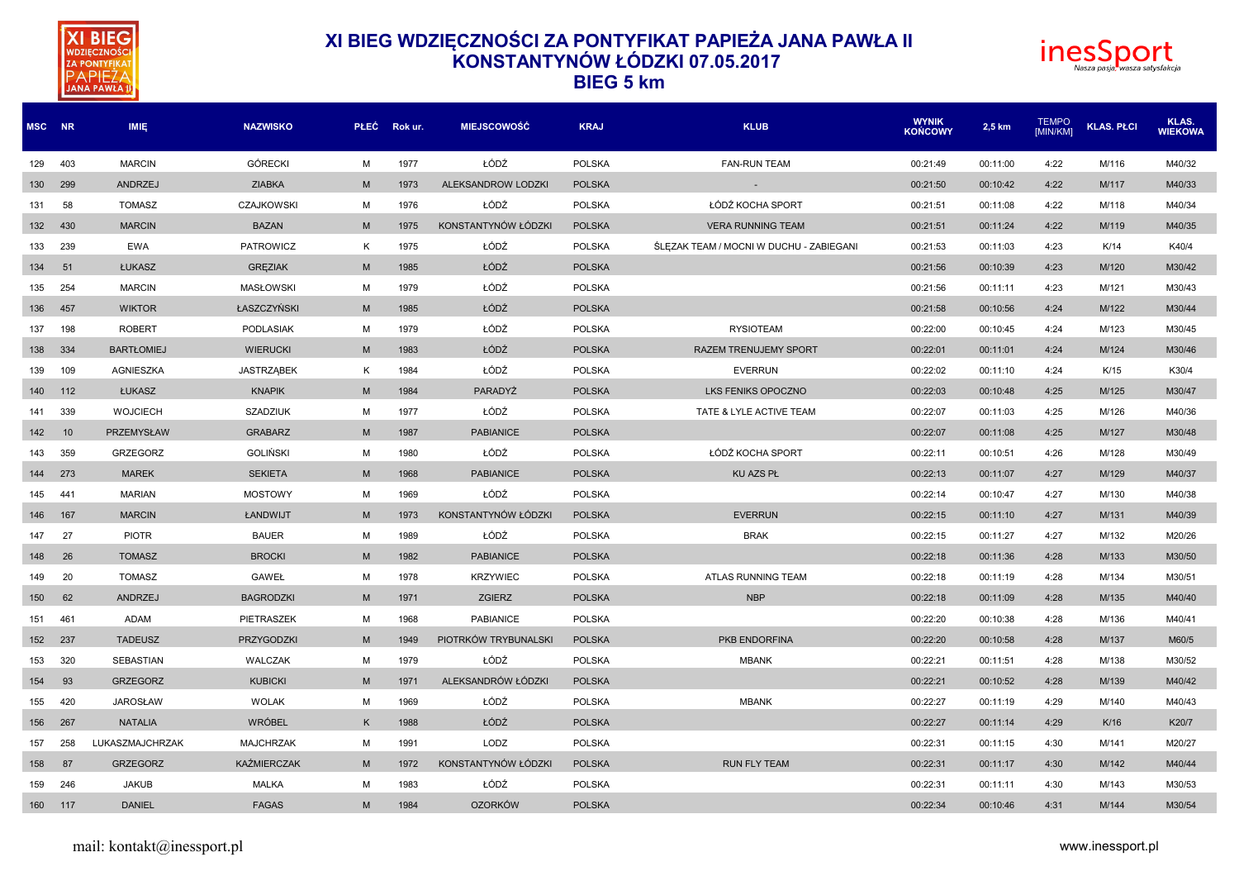



|     | MSC NR | <b>IMIE</b>       | <b>NAZWISKO</b>    |   | PŁEC Rokur. | <b>MIEJSCOWOŚĆ</b>   | <b>KRAJ</b>   | <b>KLUB</b>                             | <b>WYNIK</b><br><b>KOŃCOWY</b> | 2,5 km   | <b>TEMPO</b><br><b>IMIN/KMI</b> | <b>KLAS. PŁCI</b> | KLAS.<br><b>WIEKOWA</b> |
|-----|--------|-------------------|--------------------|---|-------------|----------------------|---------------|-----------------------------------------|--------------------------------|----------|---------------------------------|-------------------|-------------------------|
| 129 | 403    | <b>MARCIN</b>     | <b>GÓRECKI</b>     | M | 1977        | ŁÓDŹ                 | <b>POLSKA</b> | <b>FAN-RUN TEAM</b>                     | 00:21:49                       | 00:11:00 | 4:22                            | M/116             | M40/32                  |
| 130 | 299    | ANDRZEJ           | <b>ZIABKA</b>      | M | 1973        | ALEKSANDROW LODZKI   | <b>POLSKA</b> |                                         | 00:21:50                       | 00:10:42 | 4:22                            | M/117             | M40/33                  |
| 131 | 58     | <b>TOMASZ</b>     | <b>CZAJKOWSKI</b>  | M | 1976        | ŁÓDŹ                 | <b>POLSKA</b> | ŁÓDŹ KOCHA SPORT                        | 00:21:51                       | 00:11:08 | 4:22                            | M/118             | M40/34                  |
| 132 | 430    | <b>MARCIN</b>     | <b>BAZAN</b>       | M | 1975        | KONSTANTYNÓW ŁÓDZKI  | <b>POLSKA</b> | <b>VERA RUNNING TEAM</b>                | 00:21:51                       | 00:11:24 | 4:22                            | M/119             | M40/35                  |
| 133 | 239    | <b>EWA</b>        | PATROWICZ          | K | 1975        | ŁÓDŹ                 | <b>POLSKA</b> | ŚLĘZAK TEAM / MOCNI W DUCHU - ZABIEGANI | 00:21:53                       | 00:11:03 | 4:23                            | K/14              | K40/4                   |
| 134 | 51     | ŁUKASZ            | <b>GREZIAK</b>     | M | 1985        | ŁÓDŹ                 | <b>POLSKA</b> |                                         | 00:21:56                       | 00:10:39 | 4:23                            | M/120             | M30/42                  |
| 135 | 254    | <b>MARCIN</b>     | <b>MASŁOWSKI</b>   | M | 1979        | ŁÓDŹ                 | <b>POLSKA</b> |                                         | 00:21:56                       | 00:11:11 | 4:23                            | M/121             | M30/43                  |
| 136 | 457    | <b>WIKTOR</b>     | ŁASZCZYŃSKI        | M | 1985        | ŁÓDŹ                 | <b>POLSKA</b> |                                         | 00:21:58                       | 00:10:56 | 4:24                            | M/122             | M30/44                  |
| 137 | 198    | <b>ROBERT</b>     | <b>PODLASIAK</b>   | M | 1979        | ŁÓDŹ                 | <b>POLSKA</b> | <b>RYSIOTEAM</b>                        | 00:22:00                       | 00:10:45 | 4:24                            | M/123             | M30/45                  |
| 138 | 334    | <b>BARTŁOMIEJ</b> | <b>WIERUCKI</b>    | M | 1983        | ŁÓDŹ                 | <b>POLSKA</b> | <b>RAZEM TRENUJEMY SPORT</b>            | 00:22:01                       | 00:11:01 | 4:24                            | M/124             | M30/46                  |
| 139 | 109    | <b>AGNIESZKA</b>  | <b>JASTRZABEK</b>  | K | 1984        | ŁÓDŹ                 | <b>POLSKA</b> | <b>EVERRUN</b>                          | 00:22:02                       | 00:11:10 | 4:24                            | K/15              | K30/4                   |
| 140 | 112    | ŁUKASZ            | <b>KNAPIK</b>      | M | 1984        | PARADYŻ              | <b>POLSKA</b> | LKS FENIKS OPOCZNO                      | 00:22:03                       | 00:10:48 | 4:25                            | M/125             | M30/47                  |
| 141 | 339    | <b>WOJCIECH</b>   | <b>SZADZIUK</b>    | M | 1977        | ŁÓDŹ                 | <b>POLSKA</b> | TATE & LYLE ACTIVE TEAM                 | 00:22:07                       | 00:11:03 | 4:25                            | M/126             | M40/36                  |
| 142 | 10     | PRZEMYSŁAW        | <b>GRABARZ</b>     | M | 1987        | <b>PABIANICE</b>     | <b>POLSKA</b> |                                         | 00:22:07                       | 00:11:08 | 4:25                            | M/127             | M30/48                  |
| 143 | 359    | <b>GRZEGORZ</b>   | <b>GOLIŃSKI</b>    | M | 1980        | ŁÓDŹ                 | <b>POLSKA</b> | ŁÓDŹ KOCHA SPORT                        | 00:22:11                       | 00:10:51 | 4:26                            | M/128             | M30/49                  |
| 144 | 273    | <b>MAREK</b>      | <b>SEKIETA</b>     | M | 1968        | <b>PABIANICE</b>     | <b>POLSKA</b> | <b>KU AZS PŁ</b>                        | 00:22:13                       | 00:11:07 | 4:27                            | M/129             | M40/37                  |
| 145 | 441    | <b>MARIAN</b>     | <b>MOSTOWY</b>     | M | 1969        | ŁÓDŹ                 | <b>POLSKA</b> |                                         | 00:22:14                       | 00:10:47 | 4:27                            | M/130             | M40/38                  |
| 146 | 167    | <b>MARCIN</b>     | ŁANDWIJT           | M | 1973        | KONSTANTYNÓW ŁÓDZKI  | <b>POLSKA</b> | <b>EVERRUN</b>                          | 00:22:15                       | 00:11:10 | 4:27                            | M/131             | M40/39                  |
| 147 | 27     | <b>PIOTR</b>      | <b>BAUER</b>       | M | 1989        | ŁÓDŹ                 | <b>POLSKA</b> | <b>BRAK</b>                             | 00:22:15                       | 00:11:27 | 4:27                            | M/132             | M20/26                  |
| 148 | 26     | <b>TOMASZ</b>     | <b>BROCKI</b>      | M | 1982        | <b>PABIANICE</b>     | <b>POLSKA</b> |                                         | 00:22:18                       | 00:11:36 | 4:28                            | M/133             | M30/50                  |
| 149 | 20     | <b>TOMASZ</b>     | GAWEŁ              | M | 1978        | <b>KRZYWIEC</b>      | <b>POLSKA</b> | ATLAS RUNNING TEAM                      | 00:22:18                       | 00:11:19 | 4:28                            | M/134             | M30/51                  |
| 150 | 62     | ANDRZEJ           | <b>BAGRODZKI</b>   | M | 1971        | ZGIERZ               | <b>POLSKA</b> | <b>NBP</b>                              | 00:22:18                       | 00:11:09 | 4:28                            | M/135             | M40/40                  |
| 151 | 461    | ADAM              | PIETRASZEK         | M | 1968        | <b>PABIANICE</b>     | <b>POLSKA</b> |                                         | 00:22:20                       | 00:10:38 | 4:28                            | M/136             | M40/41                  |
| 152 | 237    | <b>TADEUSZ</b>    | PRZYGODZKI         | M | 1949        | PIOTRKÓW TRYBUNALSKI | <b>POLSKA</b> | PKB ENDORFINA                           | 00:22:20                       | 00:10:58 | 4:28                            | M/137             | M60/5                   |
| 153 | 320    | SEBASTIAN         | <b>WALCZAK</b>     | M | 1979        | ŁÓDŹ                 | <b>POLSKA</b> | <b>MBANK</b>                            | 00:22:21                       | 00:11:51 | 4:28                            | M/138             | M30/52                  |
| 154 | 93     | <b>GRZEGORZ</b>   | <b>KUBICKI</b>     | M | 1971        | ALEKSANDRÓW ŁÓDZKI   | <b>POLSKA</b> |                                         | 00:22:21                       | 00:10:52 | 4:28                            | M/139             | M40/42                  |
| 155 | 420    | <b>JAROSŁAW</b>   | <b>WOLAK</b>       | м | 1969        | ŁÓDŹ                 | <b>POLSKA</b> | <b>MBANK</b>                            | 00:22:27                       | 00:11:19 | 4:29                            | M/140             | M40/43                  |
| 156 | 267    | <b>NATALIA</b>    | <b>WRÓBEL</b>      | K | 1988        | ŁÓDŹ                 | <b>POLSKA</b> |                                         | 00:22:27                       | 00:11:14 | 4:29                            | K/16              | K20/7                   |
| 157 | 258    | LUKASZMAJCHRZAK   | <b>MAJCHRZAK</b>   | M | 1991        | LODZ                 | <b>POLSKA</b> |                                         | 00:22:31                       | 00:11:15 | 4:30                            | M/141             | M20/27                  |
| 158 | 87     | <b>GRZEGORZ</b>   | <b>KAŹMIERCZAK</b> | M | 1972        | KONSTANTYNÓW ŁÓDZKI  | <b>POLSKA</b> | <b>RUN FLY TEAM</b>                     | 00:22:31                       | 00:11:17 | 4:30                            | M/142             | M40/44                  |
| 159 | 246    | <b>JAKUB</b>      | <b>MALKA</b>       | м | 1983        | ŁÓDŹ                 | <b>POLSKA</b> |                                         | 00:22:31                       | 00:11:11 | 4:30                            | M/143             | M30/53                  |
| 160 | 117    | <b>DANIEL</b>     | <b>FAGAS</b>       | M | 1984        | <b>OZORKÓW</b>       | <b>POLSKA</b> |                                         | 00:22:34                       | 00:10:46 | 4:31                            | M/144             | M30/54                  |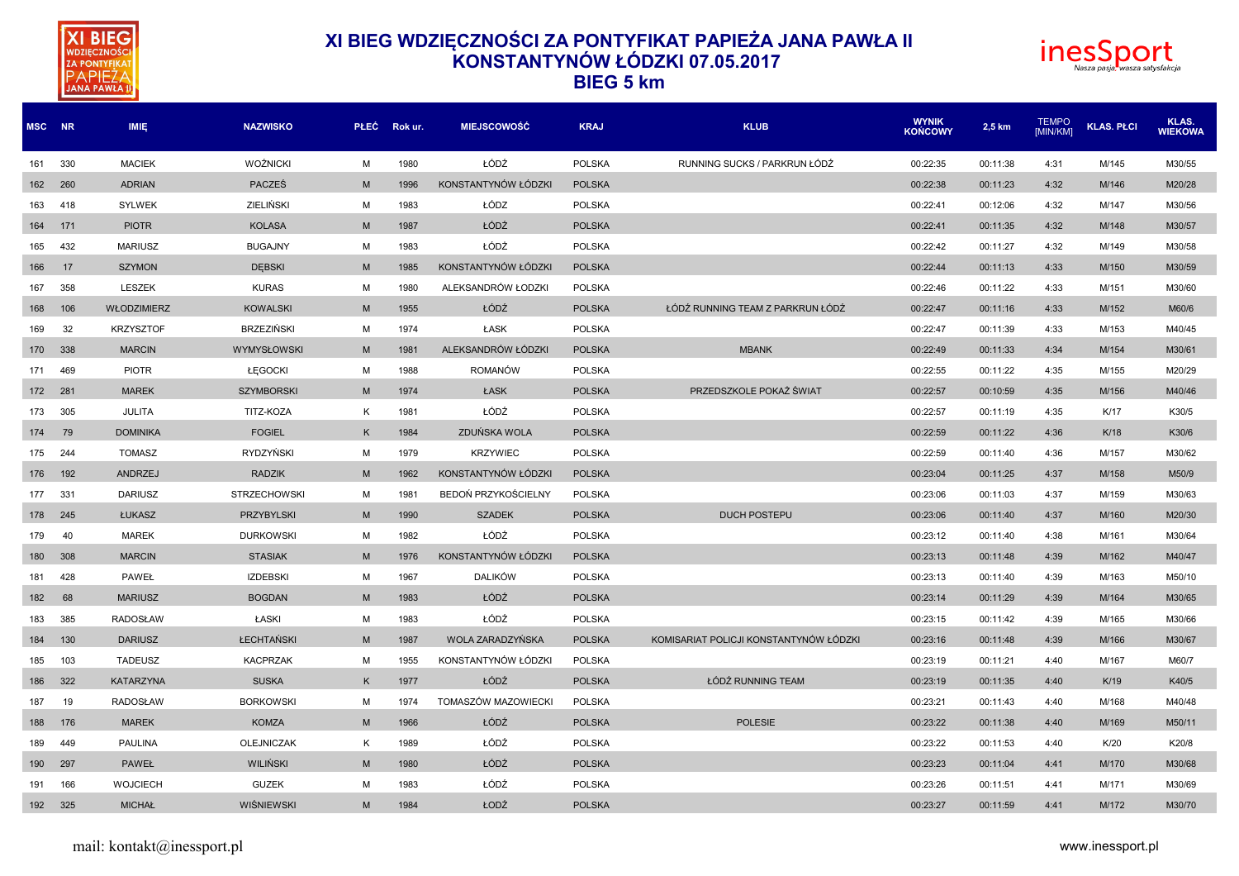



| MSC NR |     | <b>IMIE</b>      | <b>NAZWISKO</b>     | <b>PLEC</b> | Rok ur. | <b>MIEJSCOWOŚĆ</b>  | <b>KRAJ</b>   | <b>KLUB</b>                            | WYNIK<br><b>KOŃCOWY</b> | 2,5 km   | <b>TEMPO</b><br>[MIN/KM] | <b>KLAS. PŁCI</b> | KLAS.<br><b>WIEKOWA</b> |
|--------|-----|------------------|---------------------|-------------|---------|---------------------|---------------|----------------------------------------|-------------------------|----------|--------------------------|-------------------|-------------------------|
| 161    | 330 | <b>MACIEK</b>    | <b>WOŹNICKI</b>     | M           | 1980    | ŁÓDŹ                | <b>POLSKA</b> | RUNNING SUCKS / PARKRUN ŁÓDŹ           | 00:22:35                | 00:11:38 | 4:31                     | M/145             | M30/55                  |
| 162    | 260 | <b>ADRIAN</b>    | <b>PACZEŚ</b>       | M           | 1996    | KONSTANTYNÓW ŁÓDZKI | <b>POLSKA</b> |                                        | 00:22:38                | 00:11:23 | 4:32                     | M/146             | M20/28                  |
| 163    | 418 | <b>SYLWEK</b>    | <b>ZIELIŃSKI</b>    | M           | 1983    | ŁÓDZ                | <b>POLSKA</b> |                                        | 00:22:41                | 00:12:06 | 4:32                     | M/147             | M30/56                  |
| 164    | 171 | <b>PIOTR</b>     | <b>KOLASA</b>       | M           | 1987    | ŁÓDŹ                | <b>POLSKA</b> |                                        | 00:22:41                | 00:11:35 | 4:32                     | M/148             | M30/57                  |
| 165    | 432 | <b>MARIUSZ</b>   | <b>BUGAJNY</b>      | M           | 1983    | ŁÓDŻ                | <b>POLSKA</b> |                                        | 00:22:42                | 00:11:27 | 4:32                     | M/149             | M30/58                  |
| 166    | 17  | <b>SZYMON</b>    | <b>DEBSKI</b>       | M           | 1985    | KONSTANTYNÓW ŁÓDZKI | <b>POLSKA</b> |                                        | 00:22:44                | 00:11:13 | 4:33                     | M/150             | M30/59                  |
| 167    | 358 | LESZEK           | <b>KURAS</b>        | M           | 1980    | ALEKSANDRÓW ŁODZK   | <b>POLSKA</b> |                                        | 00:22:46                | 00:11:22 | 4:33                     | M/151             | M30/60                  |
| 168    | 106 | WŁODZIMIERZ      | <b>KOWALSKI</b>     | M           | 1955    | ŁÓDŹ                | <b>POLSKA</b> | ŁÓDŹ RUNNING TEAM Z PARKRUN ŁÓDŹ       | 00:22:47                | 00:11:16 | 4:33                     | M/152             | M60/6                   |
| 169    | 32  | <b>KRZYSZTOF</b> | <b>BRZEZIŃSKI</b>   | M           | 1974    | ŁASK                | <b>POLSKA</b> |                                        | 00:22:47                | 00:11:39 | 4:33                     | M/153             | M40/45                  |
| 170    | 338 | <b>MARCIN</b>    | WYMYSŁOWSKI         | M           | 1981    | ALEKSANDRÓW ŁÓDZKI  | <b>POLSKA</b> | <b>MBANK</b>                           | 00:22:49                | 00:11:33 | 4:34                     | M/154             | M30/61                  |
| 171    | 469 | <b>PIOTR</b>     | ŁĘGOCKI             | M           | 1988    | <b>ROMANÓW</b>      | <b>POLSKA</b> |                                        | 00:22:55                | 00:11:22 | 4:35                     | M/155             | M20/29                  |
| 172    | 281 | <b>MAREK</b>     | <b>SZYMBORSKI</b>   | M           | 1974    | ŁASK                | <b>POLSKA</b> | PRZEDSZKOLE POKAŻ ŚWIAT                | 00:22:57                | 00:10:59 | 4:35                     | M/156             | M40/46                  |
| 173    | 305 | <b>JULITA</b>    | TITZ-KOZA           | K           | 1981    | ŁÓDŹ                | <b>POLSKA</b> |                                        | 00:22:57                | 00:11:19 | 4:35                     | K/17              | K30/5                   |
| 174    | 79  | <b>DOMINIKA</b>  | <b>FOGIEL</b>       | K           | 1984    | ZDUŃSKA WOLA        | <b>POLSKA</b> |                                        | 00:22:59                | 00:11:22 | 4:36                     | K/18              | K30/6                   |
| 175    | 244 | <b>TOMASZ</b>    | <b>RYDZYŃSKI</b>    | M           | 1979    | <b>KRZYWIEC</b>     | <b>POLSKA</b> |                                        | 00:22:59                | 00:11:40 | 4:36                     | M/157             | M30/62                  |
| 176    | 192 | ANDRZEJ          | <b>RADZIK</b>       | M           | 1962    | KONSTANTYNÓW ŁÓDZKI | <b>POLSKA</b> |                                        | 00:23:04                | 00:11:25 | 4:37                     | M/158             | M50/9                   |
| 177    | 331 | <b>DARIUSZ</b>   | <b>STRZECHOWSKI</b> | M           | 1981    | BEDOŃ PRZYKOŚCIELNY | <b>POLSKA</b> |                                        | 00:23:06                | 00:11:03 | 4:37                     | M/159             | M30/63                  |
| 178    | 245 | ŁUKASZ           | <b>PRZYBYLSKI</b>   | M           | 1990    | <b>SZADEK</b>       | <b>POLSKA</b> | <b>DUCH POSTEPU</b>                    | 00:23:06                | 00:11:40 | 4:37                     | M/160             | M20/30                  |
| 179    | 40  | <b>MAREK</b>     | <b>DURKOWSKI</b>    | M           | 1982    | ŁÓDŹ                | <b>POLSKA</b> |                                        | 00:23:12                | 00:11:40 | 4:38                     | M/161             | M30/64                  |
| 180    | 308 | <b>MARCIN</b>    | <b>STASIAK</b>      | M           | 1976    | KONSTANTYNÓW ŁÓDZKI | <b>POLSKA</b> |                                        | 00:23:13                | 00:11:48 | 4:39                     | M/162             | M40/47                  |
| 181    | 428 | <b>PAWEŁ</b>     | <b>IZDEBSKI</b>     | M           | 1967    | <b>DALIKÓW</b>      | <b>POLSKA</b> |                                        | 00:23:13                | 00:11:40 | 4:39                     | M/163             | M50/10                  |
| 182    | 68  | <b>MARIUSZ</b>   | <b>BOGDAN</b>       | M           | 1983    | ŁÓDŹ                | <b>POLSKA</b> |                                        | 00:23:14                | 00:11:29 | 4:39                     | M/164             | M30/65                  |
| 183    | 385 | <b>RADOSŁAW</b>  | ŁASKI               | M           | 1983    | ŁÓDŹ                | <b>POLSKA</b> |                                        | 00:23:15                | 00:11:42 | 4:39                     | M/165             | M30/66                  |
| 184    | 130 | <b>DARIUSZ</b>   | <b>ŁECHTAŃSKI</b>   | M           | 1987    | WOLA ZARADZYŃSKA    | <b>POLSKA</b> | KOMISARIAT POLICJI KONSTANTYNÓW ŁÓDZKI | 00:23:16                | 00:11:48 | 4:39                     | M/166             | M30/67                  |
| 185    | 103 | <b>TADEUSZ</b>   | <b>KACPRZAK</b>     | M           | 1955    | KONSTANTYNÓW ŁÓDZKI | <b>POLSKA</b> |                                        | 00:23:19                | 00:11:21 | 4:40                     | M/167             | M60/7                   |
| 186    | 322 | <b>KATARZYNA</b> | <b>SUSKA</b>        | K           | 1977    | ŁÓDŹ                | <b>POLSKA</b> | ŁÓDŹ RUNNING TEAM                      | 00:23:19                | 00:11:35 | 4:40                     | K/19              | K40/5                   |
| 187    | 19  | <b>RADOSŁAW</b>  | <b>BORKOWSKI</b>    | M           | 1974    | TOMASZÓW MAZOWIECKI | <b>POLSKA</b> |                                        | 00:23:21                | 00:11:43 | 4:40                     | M/168             | M40/48                  |
| 188    | 176 | <b>MAREK</b>     | <b>KOMZA</b>        | M           | 1966    | ŁÓDŹ                | <b>POLSKA</b> | <b>POLESIE</b>                         | 00:23:22                | 00:11:38 | 4:40                     | M/169             | M50/11                  |
| 189    | 449 | <b>PAULINA</b>   | <b>OLEJNICZAK</b>   | K           | 1989    | ŁÓDŹ                | <b>POLSKA</b> |                                        | 00:23:22                | 00:11:53 | 4:40                     | K/20              | K20/8                   |
| 190    | 297 | <b>PAWEŁ</b>     | <b>WILINSKI</b>     | M           | 1980    | ŁÓDŹ                | <b>POLSKA</b> |                                        | 00:23:23                | 00:11:04 | 4:41                     | M/170             | M30/68                  |
| 191    | 166 | <b>WOJCIECH</b>  | <b>GUZEK</b>        | M           | 1983    | ŁÓDŹ                | <b>POLSKA</b> |                                        | 00:23:26                | 00:11:51 | 4:41                     | M/171             | M30/69                  |
| 192    | 325 | <b>MICHAŁ</b>    | WIŚNIEWSKI          | M           | 1984    | ŁODŹ                | <b>POLSKA</b> |                                        | 00:23:27                | 00:11:59 | 4:41                     | M/172             | M30/70                  |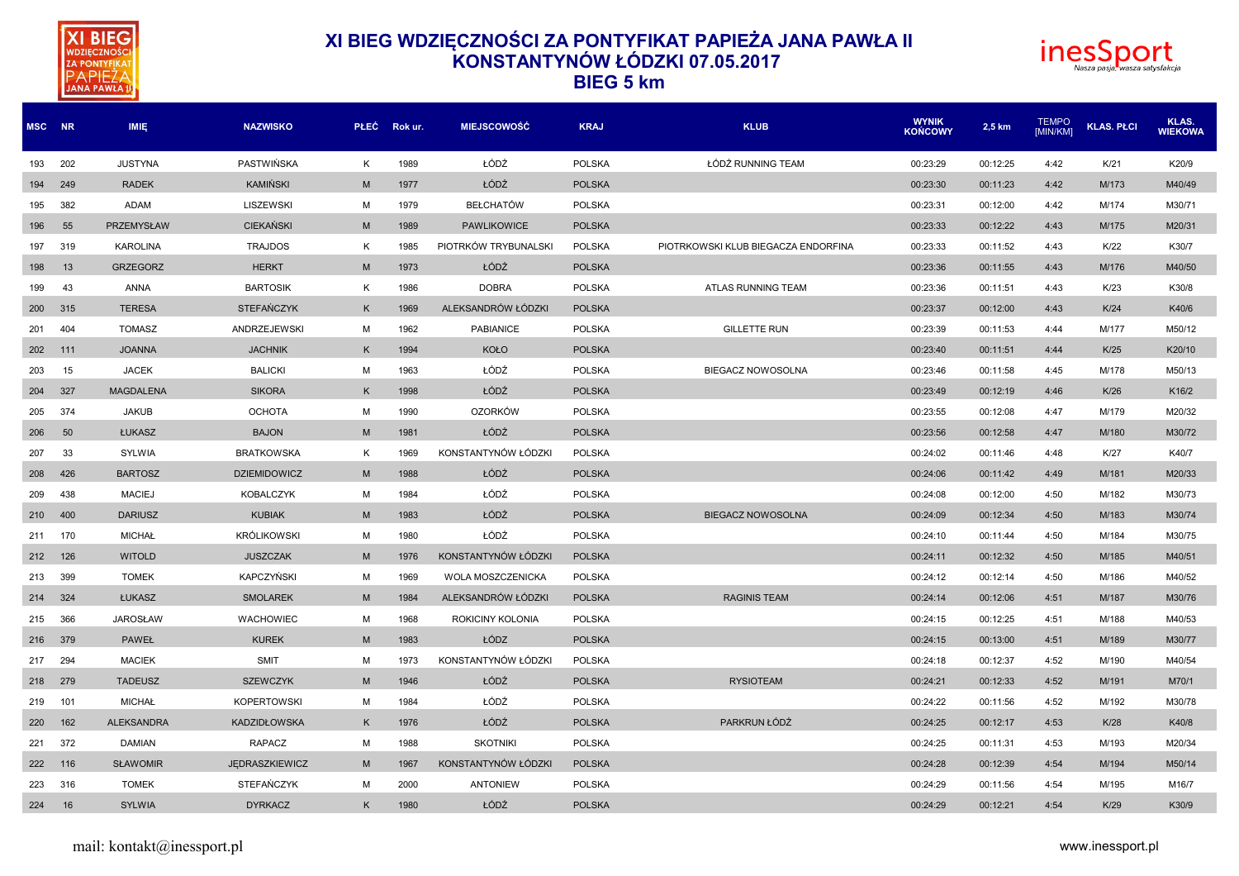



| MSC NR  |     | <b>IMIE</b>      | <b>NAZWISKO</b>     | <b>PLEC</b> | Rok ur. | <b>MIEJSCOWOŚĆ</b>   | <b>KRAJ</b>   | <b>KLUB</b>                         | <b>WYNIK</b><br><b>KOŃCOWY</b> | 2,5 km   | <b>TEMPO</b><br>[MIN/KM] | <b>KLAS, PŁCI</b> | <b>KLAS.</b><br><b>WIEKOWA</b> |
|---------|-----|------------------|---------------------|-------------|---------|----------------------|---------------|-------------------------------------|--------------------------------|----------|--------------------------|-------------------|--------------------------------|
| 193     | 202 | <b>JUSTYNA</b>   | <b>PASTWIŃSKA</b>   | Κ           | 1989    | ŁÓDŹ                 | <b>POLSKA</b> | ŁÓDŹ RUNNING TEAM                   | 00:23:29                       | 00:12:25 | 4:42                     | K/21              | K20/9                          |
| 194 249 |     | <b>RADEK</b>     | <b>KAMIŃSKI</b>     | M           | 1977    | ŁÓDŹ                 | <b>POLSKA</b> |                                     | 00:23:30                       | 00:11:23 | 4:42                     | M/173             | M40/49                         |
| 195     | 382 | ADAM             | <b>LISZEWSKI</b>    | M           | 1979    | <b>BEŁCHATÓW</b>     | <b>POLSKA</b> |                                     | 00:23:31                       | 00:12:00 | 4:42                     | M/174             | M30/71                         |
| 196     | 55  | PRZEMYSŁAW       | <b>CIEKAŃSKI</b>    | M           | 1989    | <b>PAWLIKOWICE</b>   | <b>POLSKA</b> |                                     | 00:23:33                       | 00:12:22 | 4:43                     | M/175             | M20/31                         |
| 197     | 319 | <b>KAROLINA</b>  | <b>TRAJDOS</b>      | K           | 1985    | PIOTRKÓW TRYBUNALSKI | <b>POLSKA</b> | PIOTRKOWSKI KLUB BIEGACZA ENDORFINA | 00:23:33                       | 00:11:52 | 4:43                     | K/22              | K30/7                          |
| 198     | 13  | <b>GRZEGORZ</b>  | <b>HERKT</b>        | M           | 1973    | ŁÓDŹ                 | <b>POLSKA</b> |                                     | 00:23:36                       | 00:11:55 | 4:43                     | M/176             | M40/50                         |
| 199     | 43  | <b>ANNA</b>      | <b>BARTOSIK</b>     | Κ           | 1986    | <b>DOBRA</b>         | <b>POLSKA</b> | ATLAS RUNNING TEAM                  | 00:23:36                       | 00:11:51 | 4:43                     | K/23              | K30/8                          |
| 200     | 315 | <b>TERESA</b>    | <b>STEFAŃCZYK</b>   | K           | 1969    | ALEKSANDRÓW ŁÓDZKI   | <b>POLSKA</b> |                                     | 00:23:37                       | 00:12:00 | 4:43                     | K/24              | K40/6                          |
| 201 404 |     | <b>TOMASZ</b>    | <b>ANDRZEJEWSKI</b> | M           | 1962    | PABIANICE            | <b>POLSKA</b> | <b>GILLETTE RUN</b>                 | 00:23:39                       | 00:11:53 | 4:44                     | M/177             | M50/12                         |
| 202 111 |     | <b>JOANNA</b>    | <b>JACHNIK</b>      | K           | 1994    | KOŁO                 | <b>POLSKA</b> |                                     | 00:23:40                       | 00:11:51 | 4:44                     | K/25              | K20/10                         |
| 203     | 15  | <b>JACEK</b>     | <b>BALICKI</b>      | M           | 1963    | ŁÓDŹ                 | <b>POLSKA</b> | <b>BIEGACZ NOWOSOLNA</b>            | 00:23:46                       | 00:11:58 | 4:45                     | M/178             | M50/13                         |
| 204     | 327 | <b>MAGDALENA</b> | <b>SIKORA</b>       | K           | 1998    | ŁÓDŹ                 | <b>POLSKA</b> |                                     | 00:23:49                       | 00:12:19 | 4:46                     | K/26              | K16/2                          |
| 205     | 374 | <b>JAKUB</b>     | <b>OCHOTA</b>       | M           | 1990    | <b>OZORKÓW</b>       | <b>POLSKA</b> |                                     | 00:23:55                       | 00:12:08 | 4:47                     | M/179             | M20/32                         |
| 206     | 50  | ŁUKASZ           | <b>BAJON</b>        | M           | 1981    | ŁÓDŹ                 | <b>POLSKA</b> |                                     | 00:23:56                       | 00:12:58 | 4:47                     | M/180             | M30/72                         |
| 207     | 33  | SYLWIA           | <b>BRATKOWSKA</b>   | K           | 1969    | KONSTANTYNÓW ŁÓDZKI  | <b>POLSKA</b> |                                     | 00:24:02                       | 00:11:46 | 4:48                     | K/27              | K40/7                          |
| 208     | 426 | <b>BARTOSZ</b>   | <b>DZIEMIDOWICZ</b> | M           | 1988    | ŁÓDŹ                 | <b>POLSKA</b> |                                     | 00:24:06                       | 00:11:42 | 4:49                     | M/181             | M20/33                         |
| 209     | 438 | <b>MACIEJ</b>    | <b>KOBALCZYK</b>    | M           | 1984    | ŁÓDŹ                 | <b>POLSKA</b> |                                     | 00:24:08                       | 00:12:00 | 4:50                     | M/182             | M30/73                         |
| 210 400 |     | <b>DARIUSZ</b>   | <b>KUBIAK</b>       | M           | 1983    | ŁÓDŹ                 | <b>POLSKA</b> | <b>BIEGACZ NOWOSOLNA</b>            | 00:24:09                       | 00:12:34 | 4:50                     | M/183             | M30/74                         |
| 211 170 |     | <b>MICHAŁ</b>    | <b>KRÓLIKOWSKI</b>  | M           | 1980    | ŁÓDŹ                 | <b>POLSKA</b> |                                     | 00:24:10                       | 00:11:44 | 4:50                     | M/184             | M30/75                         |
| 212 126 |     | <b>WITOLD</b>    | <b>JUSZCZAK</b>     | M           | 1976    | KONSTANTYNÓW ŁÓDZKI  | <b>POLSKA</b> |                                     | 00:24:11                       | 00:12:32 | 4:50                     | M/185             | M40/51                         |
| 213 399 |     | <b>TOMEK</b>     | KAPCZYŃSKI          | М           | 1969    | WOLA MOSZCZENICKA    | <b>POLSKA</b> |                                     | 00:24:12                       | 00:12:14 | 4:50                     | M/186             | M40/52                         |
|         |     |                  |                     |             |         |                      |               |                                     |                                |          |                          |                   |                                |

 324 ŁUKASZ SMOLAREK M 1984 ALEKSANDRÓW ŁÓDZKI POLSKA RAGINIS TEAM 00:24:14 00:12:06 4:51 M/187 M30/76 366 JAROSŁAW WACHOWIEC M 1968 ROKICINY KOLONIA POLSKA 00:24:15 00:12:25 4:51 M/188 M40/53 379 PAWEŁ KUREK M 1983 ŁÓDZ POLSKA 00:24:15 00:13:00 4:51 M/189 M30/77 294 MACIEK SMIT M 1973 KONSTANTYNÓW ŁÓDZKI POLSKA 00:24:18 00:12:37 4:52 M/190 M40/54 279 TADEUSZ SZEWCZYK M 1946 ŁÓDŹ POLSKA RYSIOTEAM 00:24:21 00:12:33 4:52 M/191 M70/1 101 MICHAŁ KOPERTOWSKI M 1984 ŁÓDŹ POLSKA 00:24:22 00:11:56 4:52 M/192 M30/78 162 ALEKSANDRA KADZIDŁOWSKA K 1976 ŁÓDŹ POLSKA PARKRUN ŁÓDŹ 00:24:25 00:12:17 4:53 K/28 K40/8 372 DAMIAN RAPACZ M 1988 SKOTNIKI POLSKA 00:24:25 00:11:31 4:53 M/193 M20/34 116 SŁAWOMIR JĘDRASZKIEWICZ M 1967 KONSTANTYNÓW ŁÓDZKI POLSKA 00:24:28 00:12:39 4:54 M/194 M50/14 316 TOMEK STEFAŃCZYK M 2000 ANTONIEW POLSKA 00:24:29 00:11:56 4:54 M/195 M16/7 16 SYLWIA DYRKACZ K 1980 ŁÓDŹ POLSKA 00:24:29 00:12:21 4:54 K/29 K30/9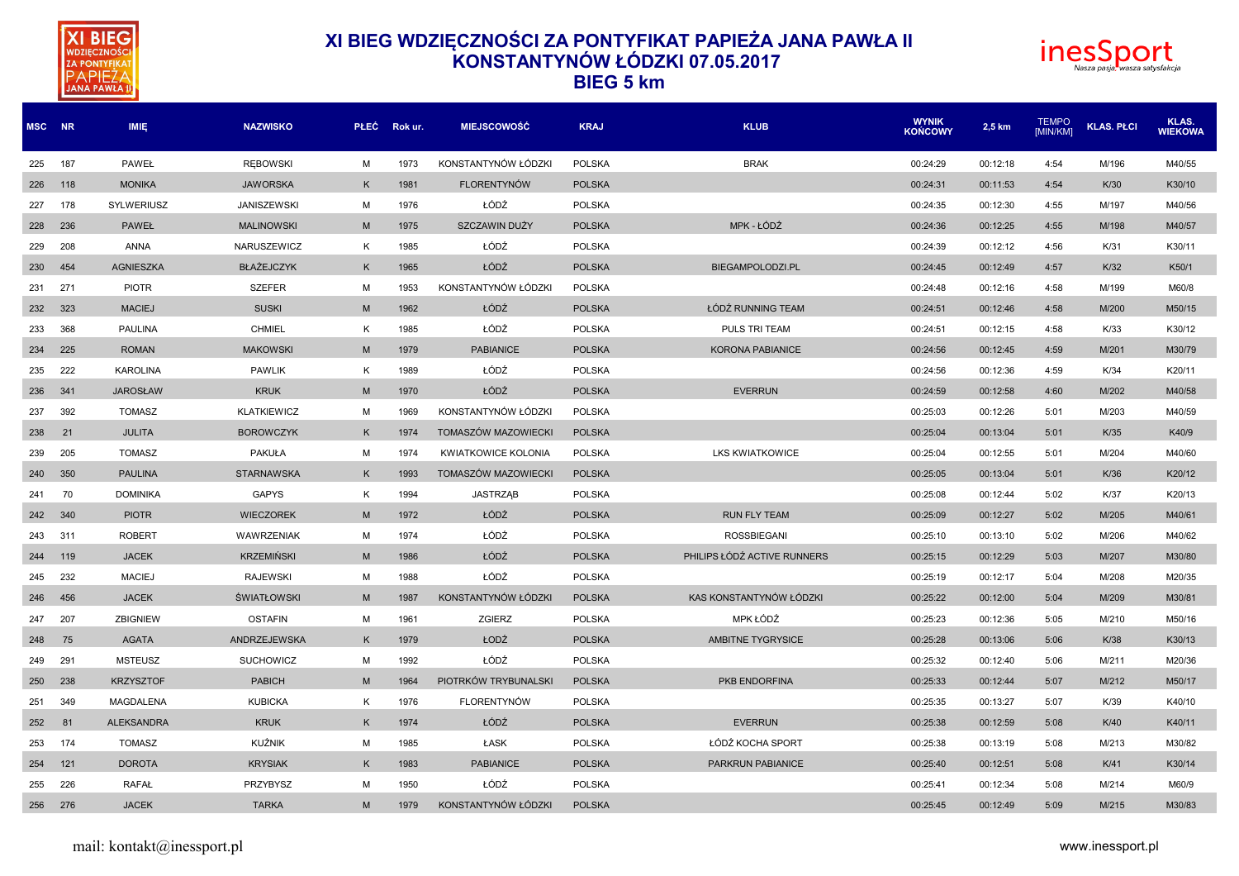



| <b>BIEG</b> |  | ∣5 km |
|-------------|--|-------|
|-------------|--|-------|

| MSC NR  |     | <b>IMIE</b>       | <b>NAZWISKO</b>    | <b>PLEC</b> | Rok ur. | <b>MIEJSCOWOŚĆ</b>         | <b>KRAJ</b>   | <b>KLUB</b>                 | <b>WYNIK</b><br><b>KOŃCOWY</b> | 2,5 km   | <b>TEMPO</b><br>[MIN/KM] | <b>KLAS. PŁCI</b> | KLAS.<br><b>WIEKOWA</b> |
|---------|-----|-------------------|--------------------|-------------|---------|----------------------------|---------------|-----------------------------|--------------------------------|----------|--------------------------|-------------------|-------------------------|
| 225     | 187 | PAWEŁ             | <b>REBOWSKI</b>    | M           | 1973    | KONSTANTYNÓW ŁÓDZKI        | <b>POLSKA</b> | <b>BRAK</b>                 | 00:24:29                       | 00:12:18 | 4:54                     | M/196             | M40/55                  |
| 226     | 118 | <b>MONIKA</b>     | <b>JAWORSKA</b>    | K           | 1981    | <b>FLORENTYNÓW</b>         | <b>POLSKA</b> |                             | 00:24:31                       | 00:11:53 | 4:54                     | K/30              | K30/10                  |
| 227     | 178 | SYLWERIUSZ        | <b>JANISZEWSKI</b> | M           | 1976    | ŁÓDŹ                       | <b>POLSKA</b> |                             | 00:24:35                       | 00:12:30 | 4:55                     | M/197             | M40/56                  |
| 228     | 236 | <b>PAWEŁ</b>      | <b>MALINOWSKI</b>  | M           | 1975    | SZCZAWIN DUŻY              | <b>POLSKA</b> | MPK - ŁÓDŹ                  | 00:24:36                       | 00:12:25 | 4:55                     | M/198             | M40/57                  |
| 229     | 208 | <b>ANNA</b>       | NARUSZEWICZ        | K           | 1985    | ŁÓDŹ                       | <b>POLSKA</b> |                             | 00:24:39                       | 00:12:12 | 4:56                     | K/31              | K30/11                  |
| 230     | 454 | <b>AGNIESZKA</b>  | <b>BŁAŻEJCZYK</b>  | K           | 1965    | ŁÓDŹ                       | <b>POLSKA</b> | BIEGAMPOLODZI.PL            | 00:24:45                       | 00:12:49 | 4:57                     | K/32              | K50/1                   |
| 231     | 271 | <b>PIOTR</b>      | <b>SZEFER</b>      | M           | 1953    | KONSTANTYNÓW ŁÓDZKI        | <b>POLSKA</b> |                             | 00:24:48                       | 00:12:16 | 4:58                     | M/199             | M60/8                   |
| 232     | 323 | <b>MACIEJ</b>     | <b>SUSKI</b>       | M           | 1962    | ŁÓDŹ                       | <b>POLSKA</b> | ŁÓDŹ RUNNING TEAM           | 00:24:51                       | 00:12:46 | 4:58                     | M/200             | M50/15                  |
| 233     | 368 | <b>PAULINA</b>    | <b>CHMIEL</b>      | K           | 1985    | ŁÓDŹ                       | <b>POLSKA</b> | PULS TRI TEAM               | 00:24:51                       | 00:12:15 | 4:58                     | K/33              | K30/12                  |
| 234     | 225 | <b>ROMAN</b>      | <b>MAKOWSKI</b>    | M           | 1979    | <b>PABIANICE</b>           | <b>POLSKA</b> | <b>KORONA PABIANICE</b>     | 00:24:56                       | 00:12:45 | 4:59                     | M/201             | M30/79                  |
| 235     | 222 | <b>KAROLINA</b>   | <b>PAWLIK</b>      | K           | 1989    | ŁÓDŹ                       | <b>POLSKA</b> |                             | 00:24:56                       | 00:12:36 | 4:59                     | K/34              | K20/11                  |
| 236     | 341 | <b>JAROSŁAW</b>   | <b>KRUK</b>        | M           | 1970    | ŁÓDŹ                       | <b>POLSKA</b> | <b>EVERRUN</b>              | 00:24:59                       | 00:12:58 | 4:60                     | M/202             | M40/58                  |
| 237     | 392 | <b>TOMASZ</b>     | <b>KLATKIEWICZ</b> | M           | 1969    | KONSTANTYNÓW ŁÓDZKI        | <b>POLSKA</b> |                             | 00:25:03                       | 00:12:26 | 5:01                     | M/203             | M40/59                  |
| 238     | 21  | <b>JULITA</b>     | <b>BOROWCZYK</b>   | K           | 1974    | TOMASZÓW MAZOWIECKI        | <b>POLSKA</b> |                             | 00:25:04                       | 00:13:04 | 5:01                     | K/35              | K40/9                   |
| 239     | 205 | <b>TOMASZ</b>     | <b>PAKUŁA</b>      | M           | 1974    | <b>KWIATKOWICE KOLONIA</b> | <b>POLSKA</b> | <b>LKS KWIATKOWICE</b>      | 00:25:04                       | 00:12:55 | 5:01                     | M/204             | M40/60                  |
| 240     | 350 | <b>PAULINA</b>    | <b>STARNAWSKA</b>  | K           | 1993    | TOMASZÓW MAZOWIECKI        | <b>POLSKA</b> |                             | 00:25:05                       | 00:13:04 | 5:01                     | K/36              | K20/12                  |
| 241     | 70  | <b>DOMINIKA</b>   | <b>GAPYS</b>       | K           | 1994    | <b>JASTRZĄB</b>            | <b>POLSKA</b> |                             | 00:25:08                       | 00:12:44 | 5:02                     | K/37              | K20/13                  |
| 242     | 340 | <b>PIOTR</b>      | <b>WIECZOREK</b>   | M           | 1972    | ŁÓDŹ                       | <b>POLSKA</b> | <b>RUN FLY TEAM</b>         | 00:25:09                       | 00:12:27 | 5:02                     | M/205             | M40/61                  |
| 243     | 311 | <b>ROBERT</b>     | <b>WAWRZENIAK</b>  | M           | 1974    | ŁÓDŹ                       | <b>POLSKA</b> | <b>ROSSBIEGANI</b>          | 00:25:10                       | 00:13:10 | 5:02                     | M/206             | M40/62                  |
| 244     | 119 | <b>JACEK</b>      | <b>KRZEMIŃSKI</b>  | M           | 1986    | ŁÓDŹ                       | <b>POLSKA</b> | PHILIPS ŁÓDŹ ACTIVE RUNNERS | 00:25:15                       | 00:12:29 | 5:03                     | M/207             | M30/80                  |
| 245     | 232 | <b>MACIEJ</b>     | <b>RAJEWSKI</b>    | M           | 1988    | ŁÓDŹ                       | <b>POLSKA</b> |                             | 00:25:19                       | 00:12:17 | 5:04                     | M/208             | M20/35                  |
| 246     | 456 | <b>JACEK</b>      | <b>SWIATŁOWSKI</b> | M           | 1987    | KONSTANTYNÓW ŁÓDZKI        | <b>POLSKA</b> | KAS KONSTANTYNÓW ŁÓDZKI     | 00:25:22                       | 00:12:00 | 5:04                     | M/209             | M30/81                  |
| 247     | 207 | <b>ZBIGNIEW</b>   | <b>OSTAFIN</b>     | M           | 1961    | ZGIERZ                     | <b>POLSKA</b> | MPK ŁÓDŹ                    | 00:25:23                       | 00:12:36 | 5:05                     | M/210             | M50/16                  |
| 248     | 75  | <b>AGATA</b>      | ANDRZEJEWSKA       | K           | 1979    | ŁODŹ                       | <b>POLSKA</b> | AMBITNE TYGRYSICE           | 00:25:28                       | 00:13:06 | 5:06                     | K/38              | K30/13                  |
| 249     | 291 | <b>MSTEUSZ</b>    | <b>SUCHOWICZ</b>   | м           | 1992    | ŁÓDŹ                       | <b>POLSKA</b> |                             | 00:25:32                       | 00:12:40 | 5:06                     | M/211             | M20/36                  |
| 250     | 238 | <b>KRZYSZTOF</b>  | <b>PABICH</b>      | M           | 1964    | PIOTRKÓW TRYBUNALSKI       | <b>POLSKA</b> | PKB ENDORFINA               | 00:25:33                       | 00:12:44 | 5:07                     | M/212             | M50/17                  |
| 251     | 349 | <b>MAGDALENA</b>  | <b>KUBICKA</b>     | K           | 1976    | <b>FLORENTYNÓW</b>         | <b>POLSKA</b> |                             | 00:25:35                       | 00:13:27 | 5:07                     | K/39              | K40/10                  |
| 252     | 81  | <b>ALEKSANDRA</b> | <b>KRUK</b>        | K           | 1974    | ŁÓDŹ                       | <b>POLSKA</b> | <b>EVERRUN</b>              | 00:25:38                       | 00:12:59 | 5:08                     | K/40              | K40/11                  |
| 253     | 174 | <b>TOMASZ</b>     | KUŹNIK             | M           | 1985    | ŁASK                       | <b>POLSKA</b> | ŁÓDŹ KOCHA SPORT            | 00:25:38                       | 00:13:19 | 5:08                     | M/213             | M30/82                  |
| 254     | 121 | <b>DOROTA</b>     | <b>KRYSIAK</b>     | K           | 1983    | <b>PABIANICE</b>           | <b>POLSKA</b> | PARKRUN PABIANICE           | 00:25:40                       | 00:12:51 | 5:08                     | K/41              | K30/14                  |
| 255     | 226 | <b>RAFAŁ</b>      | <b>PRZYBYSZ</b>    | M           | 1950    | ŁÓDŹ                       | <b>POLSKA</b> |                             | 00:25:41                       | 00:12:34 | 5:08                     | M/214             | M60/9                   |
| 256 276 |     | <b>JACEK</b>      | <b>TARKA</b>       | M           | 1979    | KONSTANTYNÓW ŁÓDZKI        | <b>POLSKA</b> |                             | 00:25:45                       | 00:12:49 | 5:09                     | M/215             | M30/83                  |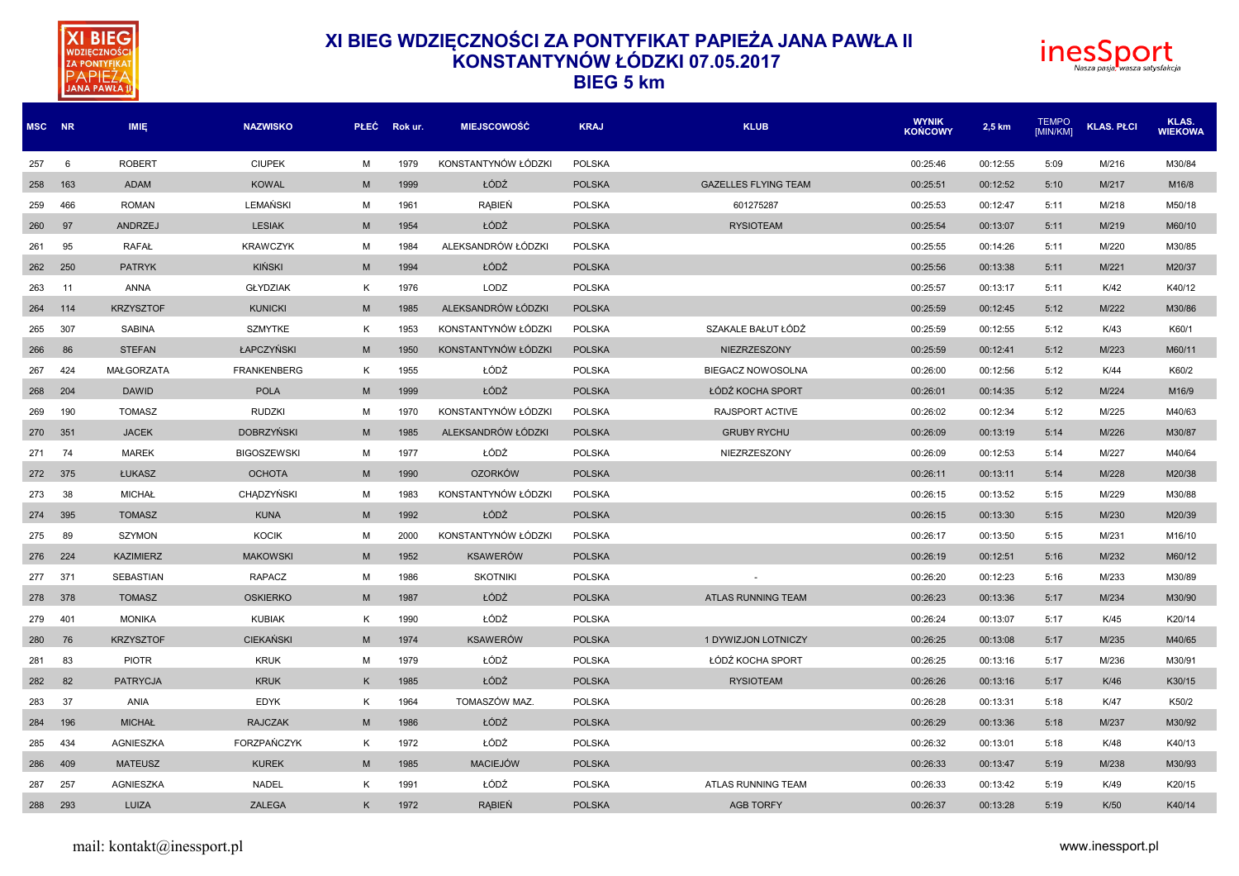



| MSC NR  |     | <b>IMIE</b>      | <b>NAZWISKO</b>    | <b>PLEC</b> | Rok ur. | <b>MIEJSCOWOŚĆ</b>  | <b>KRAJ</b>   | <b>KLUB</b>                 | <b>WYNIK</b><br><b>KONCOWY</b> | 2,5 km   | <b>TEMPO</b><br>[MIN/KM] | <b>KLAS. PLCI</b> | KLAS.<br><b>WIEKOWA</b> |
|---------|-----|------------------|--------------------|-------------|---------|---------------------|---------------|-----------------------------|--------------------------------|----------|--------------------------|-------------------|-------------------------|
| 257     | 6   | <b>ROBERT</b>    | <b>CIUPEK</b>      | M           | 1979    | KONSTANTYNÓW ŁÓDZKI | <b>POLSKA</b> |                             | 00:25:46                       | 00:12:55 | 5:09                     | M/216             | M30/84                  |
| 258     | 163 | ADAM             | <b>KOWAL</b>       | M           | 1999    | ŁÓDŹ                | <b>POLSKA</b> | <b>GAZELLES FLYING TEAM</b> | 00:25:51                       | 00:12:52 | 5:10                     | M/217             | M16/8                   |
| 259     | 466 | <b>ROMAN</b>     | LEMAŃSKI           | м           | 1961    | <b>RABIEŃ</b>       | <b>POLSKA</b> | 601275287                   | 00:25:53                       | 00:12:47 | 5:11                     | M/218             | M50/18                  |
| 260     | 97  | ANDRZEJ          | <b>LESIAK</b>      | M           | 1954    | ŁÓDŹ                | <b>POLSKA</b> | <b>RYSIOTEAM</b>            | 00:25:54                       | 00:13:07 | 5:11                     | M/219             | M60/10                  |
| 261     | 95  | <b>RAFAŁ</b>     | <b>KRAWCZYK</b>    | M           | 1984    | ALEKSANDRÓW ŁÓDZKI  | <b>POLSKA</b> |                             | 00:25:55                       | 00:14:26 | 5:11                     | M/220             | M30/85                  |
| 262     | 250 | <b>PATRYK</b>    | KIŃSKI             | M           | 1994    | ŁÓDŹ                | <b>POLSKA</b> |                             | 00:25:56                       | 00:13:38 | 5:11                     | M/221             | M20/37                  |
| 263     | 11  | <b>ANNA</b>      | <b>GŁYDZIAK</b>    | K           | 1976    | LODZ                | <b>POLSKA</b> |                             | 00:25:57                       | 00:13:17 | 5:11                     | K/42              | K40/12                  |
| 264     | 114 | <b>KRZYSZTOF</b> | <b>KUNICKI</b>     | M           | 1985    | ALEKSANDRÓW ŁÓDZKI  | <b>POLSKA</b> |                             | 00:25:59                       | 00:12:45 | 5:12                     | M/222             | M30/86                  |
| 265     | 307 | <b>SABINA</b>    | <b>SZMYTKE</b>     | K           | 1953    | KONSTANTYNÓW ŁÓDZKI | <b>POLSKA</b> | SZAKALE BAŁUT ŁÓDŹ          | 00:25:59                       | 00:12:55 | 5:12                     | K/43              | K60/1                   |
| 266     | 86  | <b>STEFAN</b>    | ŁAPCZYŃSKI         | M           | 1950    | KONSTANTYNÓW ŁÓDZKI | <b>POLSKA</b> | NIEZRZESZONY                | 00:25:59                       | 00:12:41 | 5:12                     | M/223             | M60/11                  |
| 267     | 424 | MAŁGORZATA       | <b>FRANKENBERG</b> | K           | 1955    | ŁÓDŹ                | <b>POLSKA</b> | <b>BIEGACZ NOWOSOLNA</b>    | 00:26:00                       | 00:12:56 | 5:12                     | K/44              | K60/2                   |
| 268     | 204 | <b>DAWID</b>     | <b>POLA</b>        | M           | 1999    | ŁÓDŹ                | <b>POLSKA</b> | ŁÓDŹ KOCHA SPORT            | 00:26:01                       | 00:14:35 | 5:12                     | M/224             | M16/9                   |
| 269     | 190 | <b>TOMASZ</b>    | <b>RUDZKI</b>      | M           | 1970    | KONSTANTYNÓW ŁÓDZKI | <b>POLSKA</b> | RAJSPORT ACTIVE             | 00:26:02                       | 00:12:34 | 5:12                     | M/225             | M40/63                  |
| 270     | 351 | <b>JACEK</b>     | <b>DOBRZYŃSKI</b>  | M           | 1985    | ALEKSANDRÓW ŁÓDZKI  | <b>POLSKA</b> | <b>GRUBY RYCHU</b>          | 00:26:09                       | 00:13:19 | 5:14                     | M/226             | M30/87                  |
| 271     | 74  | <b>MAREK</b>     | <b>BIGOSZEWSKI</b> | M           | 1977    | ŁÓDŹ                | <b>POLSKA</b> | NIEZRZESZONY                | 00:26:09                       | 00:12:53 | 5:14                     | M/227             | M40/64                  |
| 272     | 375 | ŁUKASZ           | <b>OCHOTA</b>      | M           | 1990    | <b>OZORKÓW</b>      | <b>POLSKA</b> |                             | 00:26:11                       | 00:13:11 | 5:14                     | M/228             | M20/38                  |
| 273     | 38  | <b>MICHAŁ</b>    | CHADZYŃSKI         | M           | 1983    | KONSTANTYNÓW ŁÓDZKI | <b>POLSKA</b> |                             | 00:26:15                       | 00:13:52 | 5:15                     | M/229             | M30/88                  |
| 274     | 395 | <b>TOMASZ</b>    | <b>KUNA</b>        | M           | 1992    | ŁÓDŹ                | <b>POLSKA</b> |                             | 00:26:15                       | 00:13:30 | 5:15                     | M/230             | M20/39                  |
| 275     | 89  | <b>SZYMON</b>    | <b>KOCIK</b>       | M           | 2000    | KONSTANTYNÓW ŁÓDZKI | <b>POLSKA</b> |                             | 00:26:17                       | 00:13:50 | 5:15                     | M/231             | M16/10                  |
| 276     | 224 | <b>KAZIMIERZ</b> | <b>MAKOWSKI</b>    | M           | 1952    | <b>KSAWERÓW</b>     | <b>POLSKA</b> |                             | 00:26:19                       | 00:12:51 | 5:16                     | M/232             | M60/12                  |
| 277     | 371 | SEBASTIAN        | <b>RAPACZ</b>      | M           | 1986    | <b>SKOTNIKI</b>     | <b>POLSKA</b> |                             | 00:26:20                       | 00:12:23 | 5:16                     | M/233             | M30/89                  |
| 278 378 |     | <b>TOMASZ</b>    | <b>OSKIERKO</b>    | M           | 1987    | ŁÓDŹ                | <b>POLSKA</b> | <b>ATLAS RUNNING TEAM</b>   | 00:26:23                       | 00:13:36 | 5:17                     | M/234             | M30/90                  |
| 279     | 401 | <b>MONIKA</b>    | <b>KUBIAK</b>      | K           | 1990    | ŁÓDŹ                | <b>POLSKA</b> |                             | 00:26:24                       | 00:13:07 | 5:17                     | K/45              | K20/14                  |
| 280     | 76  | <b>KRZYSZTOF</b> | <b>CIEKAŃSKI</b>   | M           | 1974    | <b>KSAWERÓW</b>     | <b>POLSKA</b> | 1 DYWIZJON LOTNICZY         | 00:26:25                       | 00:13:08 | 5:17                     | M/235             | M40/65                  |
| 281     | 83  | <b>PIOTR</b>     | <b>KRUK</b>        | M           | 1979    | ŁÓDŹ                | <b>POLSKA</b> | ŁÓDŹ KOCHA SPORT            | 00:26:25                       | 00:13:16 | 5:17                     | M/236             | M30/91                  |
| 282     | 82  | <b>PATRYCJA</b>  | <b>KRUK</b>        | K           | 1985    | ŁÓDŹ                | <b>POLSKA</b> | <b>RYSIOTEAM</b>            | 00:26:26                       | 00:13:16 | 5:17                     | K/46              | K30/15                  |
| 283     | 37  | ANIA             | <b>EDYK</b>        | K           | 1964    | TOMASZÓW MAZ.       | <b>POLSKA</b> |                             | 00:26:28                       | 00:13:31 | 5:18                     | K/47              | K50/2                   |
| 284     | 196 | <b>MICHAŁ</b>    | <b>RAJCZAK</b>     | M           | 1986    | ŁÓDŹ                | <b>POLSKA</b> |                             | 00:26:29                       | 00:13:36 | 5:18                     | M/237             | M30/92                  |
| 285     | 434 | AGNIESZKA        | FORZPAŃCZYK        | K           | 1972    | ŁÓDŹ                | <b>POLSKA</b> |                             | 00:26:32                       | 00:13:01 | 5:18                     | K/48              | K40/13                  |
| 286     | 409 | <b>MATEUSZ</b>   | <b>KUREK</b>       | M           | 1985    | <b>MACIEJÓW</b>     | <b>POLSKA</b> |                             | 00:26:33                       | 00:13:47 | 5:19                     | M/238             | M30/93                  |
| 287     | 257 | AGNIESZKA        | <b>NADEL</b>       | K           | 1991    | ŁÓDŹ                | <b>POLSKA</b> | <b>ATLAS RUNNING TEAM</b>   | 00:26:33                       | 00:13:42 | 5:19                     | K/49              | K20/15                  |
| 288     | 293 | LUIZA            | <b>ZALEGA</b>      | K           | 1972    | <b>RABIEŃ</b>       | <b>POLSKA</b> | <b>AGB TORFY</b>            | 00:26:37                       | 00:13:28 | 5:19                     | K/50              | K40/14                  |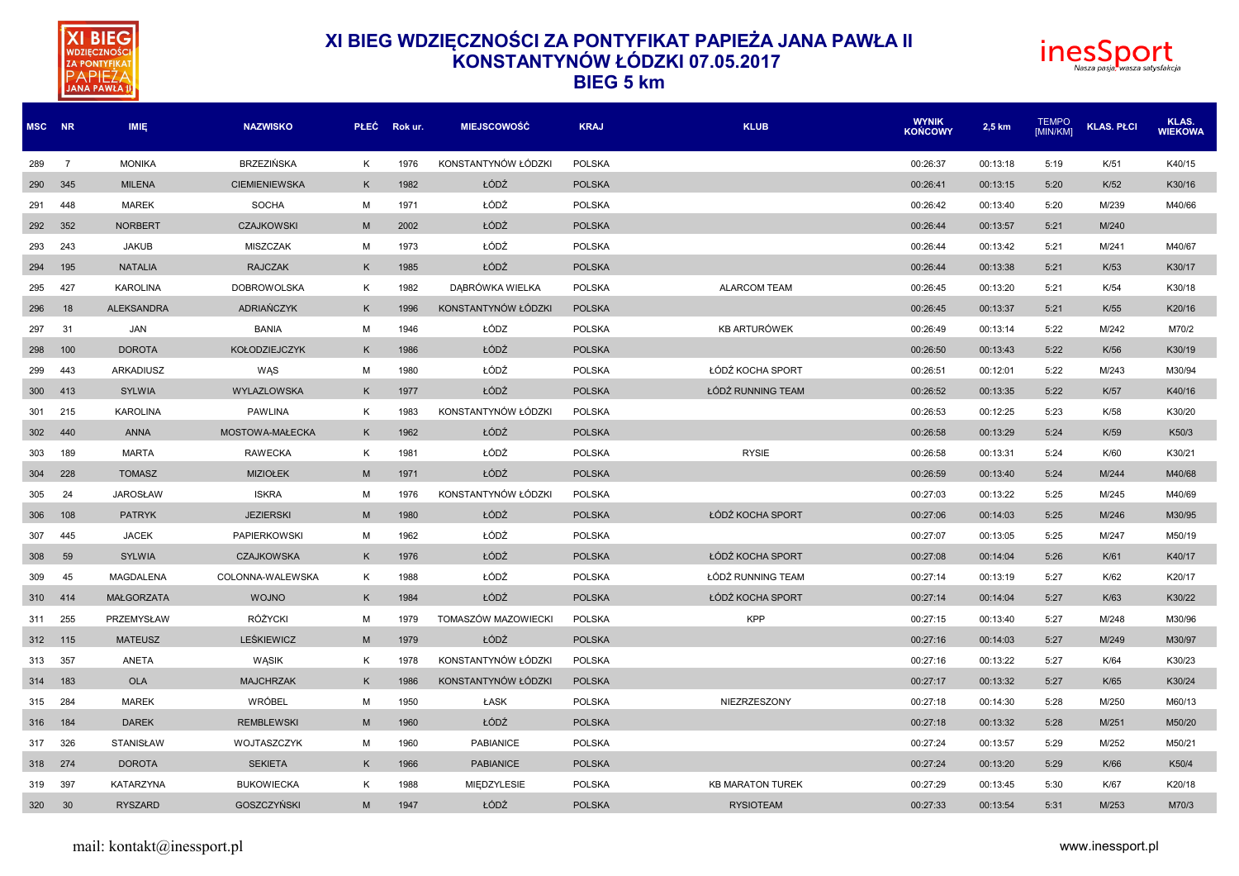



| MSC NR  |                | IMIE.             | <b>NAZWISKO</b>      | <b>PLEC</b> | Rok ur. | <b>MIEJSCOWOŚĆ</b>  | <b>KRAJ</b>   | <b>KLUB</b>             | <b>WYNIK</b><br><b>KOŃCOWY</b> | 2,5 km   | <b>TEMPO</b><br><b>IMIN/KMI</b> | <b>KLAS. PŁCI</b> | KLAS.<br><b>WIEKOWA</b> |
|---------|----------------|-------------------|----------------------|-------------|---------|---------------------|---------------|-------------------------|--------------------------------|----------|---------------------------------|-------------------|-------------------------|
| 289     | $\overline{7}$ | <b>MONIKA</b>     | BRZEZIŃSKA           | K           | 1976    | KONSTANTYNÓW ŁÓDZKI | <b>POLSKA</b> |                         | 00:26:37                       | 00:13:18 | 5:19                            | K/51              | K40/15                  |
| 290     | 345            | <b>MILENA</b>     | <b>CIEMIENIEWSKA</b> | K           | 1982    | ŁÓDŹ                | <b>POLSKA</b> |                         | 00:26:41                       | 00:13:15 | 5:20                            | K/52              | K30/16                  |
| 291     | 448            | <b>MAREK</b>      | <b>SOCHA</b>         | M           | 1971    | ŁÓDŹ                | <b>POLSKA</b> |                         | 00:26:42                       | 00:13:40 | 5:20                            | M/239             | M40/66                  |
| 292     | 352            | <b>NORBERT</b>    | <b>CZAJKOWSKI</b>    | M           | 2002    | ŁÓDŹ                | <b>POLSKA</b> |                         | 00:26:44                       | 00:13:57 | 5:21                            | M/240             |                         |
| 293     | 243            | <b>JAKUB</b>      | <b>MISZCZAK</b>      | M           | 1973    | ŁÓDŹ                | <b>POLSKA</b> |                         | 00:26:44                       | 00:13:42 | 5:21                            | M/241             | M40/67                  |
| 294     | 195            | <b>NATALIA</b>    | <b>RAJCZAK</b>       | K           | 1985    | ŁÓDŹ                | <b>POLSKA</b> |                         | 00:26:44                       | 00:13:38 | 5:21                            | K/53              | K30/17                  |
| 295     | 427            | <b>KAROLINA</b>   | <b>DOBROWOLSKA</b>   | К           | 1982    | DABRÓWKA WIELKA     | <b>POLSKA</b> | <b>ALARCOM TEAM</b>     | 00:26:45                       | 00:13:20 | 5:21                            | K/54              | K30/18                  |
| 296     | 18             | <b>ALEKSANDRA</b> | <b>ADRIANCZYK</b>    | K           | 1996    | KONSTANTYNÓW ŁÓDZKI | <b>POLSKA</b> |                         | 00:26:45                       | 00:13:37 | 5:21                            | K/55              | K20/16                  |
| 297     | 31             | <b>JAN</b>        | <b>BANIA</b>         | M           | 1946    | ŁÓDZ                | <b>POLSKA</b> | <b>KB ARTURÓWEK</b>     | 00:26:49                       | 00:13:14 | 5:22                            | M/242             | M70/2                   |
| 298     | 100            | <b>DOROTA</b>     | <b>KOŁODZIEJCZYK</b> | K           | 1986    | ŁÓDŹ                | <b>POLSKA</b> |                         | 00:26:50                       | 00:13:43 | 5:22                            | K/56              | K30/19                  |
| 299     | 443            | <b>ARKADIUSZ</b>  | WAS                  | M           | 1980    | ŁÓDŹ                | <b>POLSKA</b> | ŁÓDŹ KOCHA SPORT        | 00:26:51                       | 00:12:01 | 5:22                            | M/243             | M30/94                  |
| 300     | 413            | <b>SYLWIA</b>     | WYLAZLOWSKA          | K           | 1977    | ŁÓDŹ                | <b>POLSKA</b> | ŁÓDŹ RUNNING TEAM       | 00:26:52                       | 00:13:35 | 5:22                            | K/57              | K40/16                  |
| 301     | 215            | <b>KAROLINA</b>   | <b>PAWLINA</b>       | К           | 1983    | KONSTANTYNÓW ŁÓDZKI | <b>POLSKA</b> |                         | 00:26:53                       | 00:12:25 | 5:23                            | K/58              | K30/20                  |
| 302     | 440            | <b>ANNA</b>       | MOSTOWA-MAŁECKA      | K           | 1962    | ŁÓDŹ                | <b>POLSKA</b> |                         | 00:26:58                       | 00:13:29 | 5:24                            | K/59              | K50/3                   |
| 303     | 189            | <b>MARTA</b>      | <b>RAWECKA</b>       | K           | 1981    | ŁÓDŹ                | <b>POLSKA</b> | <b>RYSIE</b>            | 00:26:58                       | 00:13:31 | 5:24                            | K/60              | K30/21                  |
| 304     | 228            | <b>TOMASZ</b>     | <b>MIZIOŁEK</b>      | M           | 1971    | ŁÓDŹ                | <b>POLSKA</b> |                         | 00:26:59                       | 00:13:40 | 5:24                            | M/244             | M40/68                  |
| 305     | 24             | <b>JAROSŁAW</b>   | <b>ISKRA</b>         | M           | 1976    | KONSTANTYNÓW ŁÓDZKI | <b>POLSKA</b> |                         | 00:27:03                       | 00:13:22 | 5:25                            | M/245             | M40/69                  |
| 306     | 108            | <b>PATRYK</b>     | <b>JEZIERSKI</b>     | M           | 1980    | ŁÓDŹ                | <b>POLSKA</b> | ŁÓDŹ KOCHA SPORT        | 00:27:06                       | 00:14:03 | 5:25                            | M/246             | M30/95                  |
| 307     | 445            | <b>JACEK</b>      | <b>PAPIERKOWSKI</b>  | M           | 1962    | ŁÓDŹ                | <b>POLSKA</b> |                         | 00:27:07                       | 00:13:05 | 5:25                            | M/247             | M50/19                  |
| 308     | 59             | <b>SYLWIA</b>     | <b>CZAJKOWSKA</b>    | K           | 1976    | ŁÓDŹ                | <b>POLSKA</b> | ŁÓDŹ KOCHA SPORT        | 00:27:08                       | 00:14:04 | 5:26                            | K/61              | K40/17                  |
| 309     | 45             | <b>MAGDALENA</b>  | COLONNA-WALEWSKA     | K           | 1988    | ŁÓDŹ                | <b>POLSKA</b> | ŁÓDŹ RUNNING TEAM       | 00:27:14                       | 00:13:19 | 5:27                            | K/62              | K20/17                  |
| 310     | 414            | <b>MAŁGORZATA</b> | <b>WOJNO</b>         | K           | 1984    | ŁÓDŹ                | <b>POLSKA</b> | ŁÓDŹ KOCHA SPORT        | 00:27:14                       | 00:14:04 | 5:27                            | K/63              | K30/22                  |
| 311     | 255            | PRZEMYSŁAW        | <b>RÓŻYCKI</b>       | M           | 1979    | TOMASZÓW MAZOWIECKI | <b>POLSKA</b> | <b>KPP</b>              | 00:27:15                       | 00:13:40 | 5:27                            | M/248             | M30/96                  |
| 312 115 |                | <b>MATEUSZ</b>    | LEŚKIEWICZ           | M           | 1979    | ŁÓDŹ                | <b>POLSKA</b> |                         | 00:27:16                       | 00:14:03 | 5:27                            | M/249             | M30/97                  |
| 313     | 357            | ANETA             | WĄSIK                | К           | 1978    | KONSTANTYNÓW ŁÓDZKI | <b>POLSKA</b> |                         | 00:27:16                       | 00:13:22 | 5:27                            | K/64              | K30/23                  |
| 314     | 183            | <b>OLA</b>        | <b>MAJCHRZAK</b>     | K           | 1986    | KONSTANTYNÓW ŁÓDZKI | <b>POLSKA</b> |                         | 00:27:17                       | 00:13:32 | 5:27                            | K/65              | K30/24                  |
| 315     | 284            | <b>MAREK</b>      | WRÓBEL               | M           | 1950    | ŁASK                | <b>POLSKA</b> | NIEZRZESZONY            | 00:27:18                       | 00:14:30 | 5:28                            | M/250             | M60/13                  |
| 316     | 184            | <b>DAREK</b>      | <b>REMBLEWSKI</b>    | M           | 1960    | ŁÓDŹ                | <b>POLSKA</b> |                         | 00:27:18                       | 00:13:32 | 5:28                            | M/251             | M50/20                  |
| 317     | 326            | <b>STANISŁAW</b>  | WOJTASZCZYK          | M           | 1960    | <b>PABIANICE</b>    | <b>POLSKA</b> |                         | 00:27:24                       | 00:13:57 | 5:29                            | M/252             | M50/21                  |
| 318     | 274            | <b>DOROTA</b>     | <b>SEKIETA</b>       | K           | 1966    | <b>PABIANICE</b>    | <b>POLSKA</b> |                         | 00:27:24                       | 00:13:20 | 5:29                            | K/66              | K50/4                   |
| 319     | 397            | <b>KATARZYNA</b>  | <b>BUKOWIECKA</b>    | К           | 1988    | <b>MIEDZYLESIE</b>  | <b>POLSKA</b> | <b>KB MARATON TUREK</b> | 00:27:29                       | 00:13:45 | 5:30                            | K/67              | K20/18                  |
| 320 30  |                | <b>RYSZARD</b>    | <b>GOSZCZYŃSKI</b>   | M           | 1947    | ŁÓDŹ                | <b>POLSKA</b> | <b>RYSIOTEAM</b>        | 00:27:33                       | 00:13:54 | 5:31                            | M/253             | M70/3                   |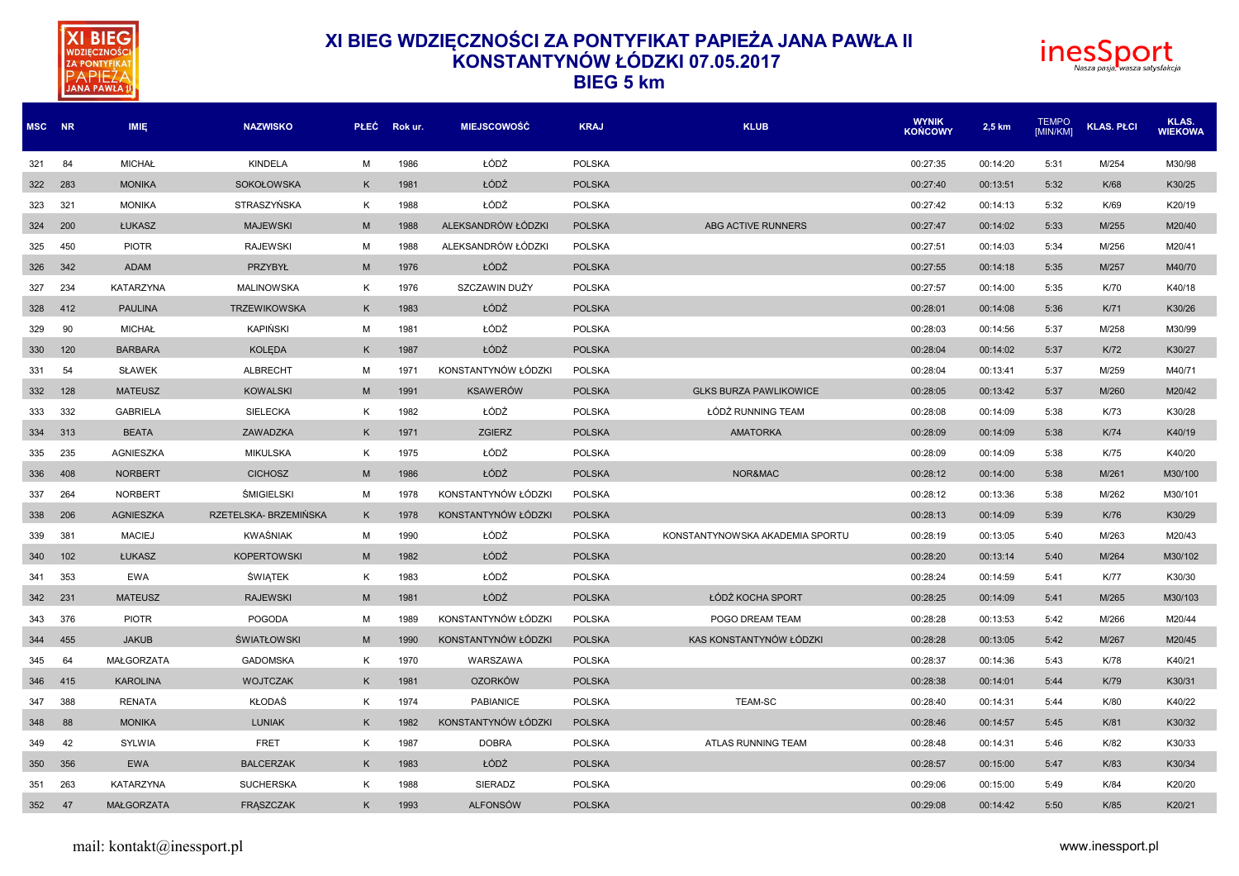



| MSC NR |     | IMIĘ.             | <b>NAZWISKO</b>       | <b>PLEC</b> | Rok ur. | <b>MIEJSCOWOŚĆ</b>  | <b>KRAJ</b>   | <b>KLUB</b>                     | <b>WYNIK</b><br><b>KOŃCOWY</b> | 2,5 km   | <b>TEMPO</b><br>[MIN/KM] | <b>KLAS, PŁCI</b> | KLAS.<br><b>WIEKOWA</b> |
|--------|-----|-------------------|-----------------------|-------------|---------|---------------------|---------------|---------------------------------|--------------------------------|----------|--------------------------|-------------------|-------------------------|
| 321    | 84  | <b>MICHAŁ</b>     | <b>KINDELA</b>        | M           | 1986    | ŁÓDŹ                | <b>POLSKA</b> |                                 | 00:27:35                       | 00:14:20 | 5:31                     | M/254             | M30/98                  |
| 322    | 283 | <b>MONIKA</b>     | <b>SOKOŁOWSKA</b>     | K           | 1981    | ŁÓDŹ                | <b>POLSKA</b> |                                 | 00:27:40                       | 00:13:51 | 5:32                     | K/68              | K30/25                  |
| 323    | 321 | <b>MONIKA</b>     | STRASZYŃSKA           | K           | 1988    | ŁÓDŹ                | <b>POLSKA</b> |                                 | 00:27:42                       | 00:14:13 | 5:32                     | K/69              | K20/19                  |
| 324    | 200 | ŁUKASZ            | <b>MAJEWSKI</b>       | M           | 1988    | ALEKSANDRÓW ŁÓDZKI  | <b>POLSKA</b> | ABG ACTIVE RUNNERS              | 00:27:47                       | 00:14:02 | 5:33                     | M/255             | M20/40                  |
| 325    | 450 | <b>PIOTR</b>      | <b>RAJEWSKI</b>       | M           | 1988    | ALEKSANDRÓW ŁÓDZKI  | <b>POLSKA</b> |                                 | 00:27:51                       | 00:14:03 | 5:34                     | M/256             | M20/41                  |
| 326    | 342 | ADAM              | PRZYBYŁ               | M           | 1976    | ŁÓDŹ                | <b>POLSKA</b> |                                 | 00:27:55                       | 00:14:18 | 5:35                     | M/257             | M40/70                  |
| 327    | 234 | <b>KATARZYNA</b>  | <b>MALINOWSKA</b>     | K           | 1976    | SZCZAWIN DUŻY       | <b>POLSKA</b> |                                 | 00:27:57                       | 00:14:00 | 5:35                     | K/70              | K40/18                  |
| 328    | 412 | <b>PAULINA</b>    | <b>TRZEWIKOWSKA</b>   | K           | 1983    | ŁÓDŹ                | <b>POLSKA</b> |                                 | 00:28:01                       | 00:14:08 | 5:36                     | K/71              | K30/26                  |
| 329    | 90  | <b>MICHAŁ</b>     | <b>KAPIŃSKI</b>       | M           | 1981    | ŁÓDŹ                | <b>POLSKA</b> |                                 | 00:28:03                       | 00:14:56 | 5:37                     | M/258             | M30/99                  |
| 330    | 120 | <b>BARBARA</b>    | <b>KOLEDA</b>         | K           | 1987    | ŁÓDŹ                | <b>POLSKA</b> |                                 | 00:28:04                       | 00:14:02 | 5:37                     | K/72              | K30/27                  |
| 331    | 54  | <b>SŁAWEK</b>     | <b>ALBRECHT</b>       | M           | 1971    | KONSTANTYNÓW ŁÓDZKI | <b>POLSKA</b> |                                 | 00:28:04                       | 00:13:41 | 5:37                     | M/259             | M40/71                  |
| 332    | 128 | <b>MATEUSZ</b>    | <b>KOWALSKI</b>       | M           | 1991    | <b>KSAWERÓW</b>     | <b>POLSKA</b> | <b>GLKS BURZA PAWLIKOWICE</b>   | 00:28:05                       | 00:13:42 | 5:37                     | M/260             | M20/42                  |
| 333    | 332 | <b>GABRIELA</b>   | <b>SIELECKA</b>       | K           | 1982    | ŁÓDŹ                | <b>POLSKA</b> | ŁÓDŹ RUNNING TEAM               | 00:28:08                       | 00:14:09 | 5:38                     | K/73              | K30/28                  |
| 334    | 313 | <b>BEATA</b>      | ZAWADZKA              | K           | 1971    | <b>ZGIERZ</b>       | <b>POLSKA</b> | <b>AMATORKA</b>                 | 00:28:09                       | 00:14:09 | 5:38                     | K/74              | K40/19                  |
| 335    | 235 | AGNIESZKA         | <b>MIKULSKA</b>       | K           | 1975    | ŁÓDŹ                | <b>POLSKA</b> |                                 | 00:28:09                       | 00:14:09 | 5:38                     | K/75              | K40/20                  |
| 336    | 408 | <b>NORBERT</b>    | <b>CICHOSZ</b>        | M           | 1986    | ŁÓDŹ                | <b>POLSKA</b> | NOR&MAC                         | 00:28:12                       | 00:14:00 | 5:38                     | M/261             | M30/100                 |
| 337    | 264 | <b>NORBERT</b>    | ŚMIGIELSKI            | M           | 1978    | KONSTANTYNÓW ŁÓDZKI | <b>POLSKA</b> |                                 | 00:28:12                       | 00:13:36 | 5:38                     | M/262             | M30/101                 |
| 338    | 206 | <b>AGNIESZKA</b>  | RZETELSKA- BRZEMIŃSKA | K           | 1978    | KONSTANTYNÓW ŁÓDZKI | <b>POLSKA</b> |                                 | 00:28:13                       | 00:14:09 | 5:39                     | K/76              | K30/29                  |
| 339    | 381 | <b>MACIEJ</b>     | <b>KWAŚNIAK</b>       | M           | 1990    | ŁÓDŹ                | <b>POLSKA</b> | KONSTANTYNOWSKA AKADEMIA SPORTU | 00:28:19                       | 00:13:05 | 5:40                     | M/263             | M20/43                  |
| 340    | 102 | <b>ŁUKASZ</b>     | <b>KOPERTOWSKI</b>    | M           | 1982    | ŁÓDŹ                | <b>POLSKA</b> |                                 | 00:28:20                       | 00:13:14 | 5:40                     | M/264             | M30/102                 |
| 341    | 353 | <b>EWA</b>        | <b>ŚWIĄTEK</b>        | K           | 1983    | ŁÓDŹ                | <b>POLSKA</b> |                                 | 00:28:24                       | 00:14:59 | 5:41                     | <b>K/77</b>       | K30/30                  |
| 342    | 231 | <b>MATEUSZ</b>    | <b>RAJEWSKI</b>       | M           | 1981    | ŁÓDŹ                | <b>POLSKA</b> | ŁÓDŹ KOCHA SPORT                | 00:28:25                       | 00:14:09 | 5:41                     | M/265             | M30/103                 |
| 343    | 376 | <b>PIOTR</b>      | <b>POGODA</b>         | M           | 1989    | KONSTANTYNÓW ŁÓDZKI | <b>POLSKA</b> | POGO DREAM TEAM                 | 00:28:28                       | 00:13:53 | 5:42                     | M/266             | M20/44                  |
| 344    | 455 | <b>JAKUB</b>      | <b>ŚWIATŁOWSKI</b>    | M           | 1990    | KONSTANTYNÓW ŁÓDZKI | <b>POLSKA</b> | KAS KONSTANTYNÓW ŁÓDZKI         | 00:28:28                       | 00:13:05 | 5:42                     | M/267             | M20/45                  |
| 345    | 64  | <b>MAŁGORZATA</b> | <b>GADOMSKA</b>       | К           | 1970    | WARSZAWA            | <b>POLSKA</b> |                                 | 00:28:37                       | 00:14:36 | 5:43                     | K/78              | K40/21                  |
| 346    | 415 | <b>KAROLINA</b>   | <b>WOJTCZAK</b>       | K           | 1981    | <b>OZORKÓW</b>      | <b>POLSKA</b> |                                 | 00:28:38                       | 00:14:01 | 5:44                     | K/79              | K30/31                  |
| 347    | 388 | RENATA            | KŁODAŚ                | К           | 1974    | <b>PABIANICE</b>    | <b>POLSKA</b> | <b>TEAM-SC</b>                  | 00:28:40                       | 00:14:31 | 5:44                     | K/80              | K40/22                  |
| 348    | 88  | <b>MONIKA</b>     | <b>LUNIAK</b>         | K           | 1982    | KONSTANTYNÓW ŁÓDZKI | <b>POLSKA</b> |                                 | 00:28:46                       | 00:14:57 | 5:45                     | K/81              | K30/32                  |
| 349    | 42  | SYLWIA            | <b>FRET</b>           | К           | 1987    | <b>DOBRA</b>        | <b>POLSKA</b> | ATLAS RUNNING TEAM              | 00:28:48                       | 00:14:31 | 5:46                     | K/82              | K30/33                  |
| 350    | 356 | <b>EWA</b>        | <b>BALCERZAK</b>      | K           | 1983    | ŁÓDŹ                | <b>POLSKA</b> |                                 | 00:28:57                       | 00:15:00 | 5:47                     | K/83              | K30/34                  |
| 351    | 263 | <b>KATARZYNA</b>  | <b>SUCHERSKA</b>      | K           | 1988    | <b>SIERADZ</b>      | <b>POLSKA</b> |                                 | 00:29:06                       | 00:15:00 | 5:49                     | K/84              | K20/20                  |
| 352    | 47  | <b>MAŁGORZATA</b> | <b>FRASZCZAK</b>      | K           | 1993    | <b>ALFONSÓW</b>     | <b>POLSKA</b> |                                 | 00:29:08                       | 00:14:42 | 5:50                     | K/85              | K20/21                  |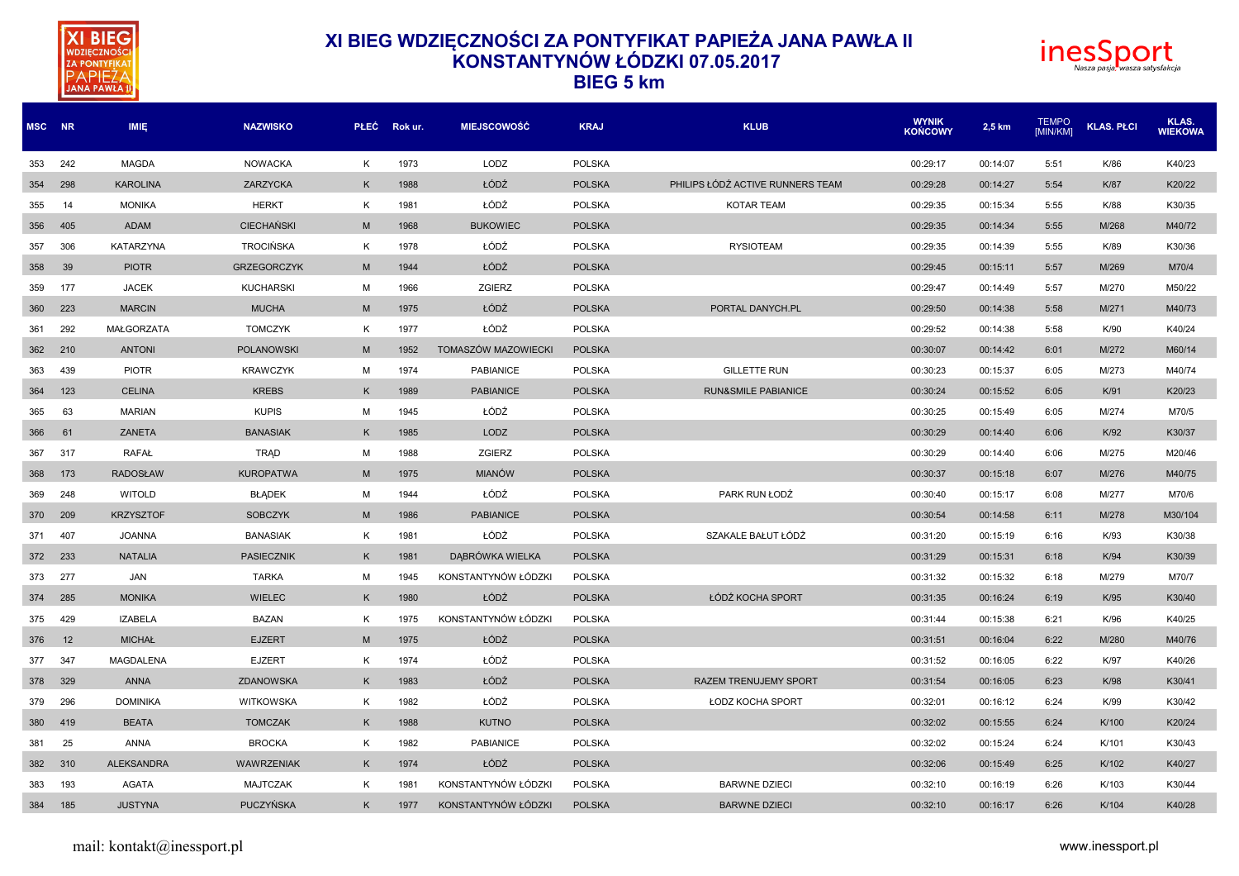



| MSC NR |     | <b>IMIE</b>       | <b>NAZWISKO</b>    | <b>PLEC</b> | Rok ur. | <b>MIEJSCOWOŚĆ</b>  | <b>KRAJ</b>   | <b>KLUB</b>                      | <b>WYNIK</b><br><b>KOŃCOWY</b> | 2,5 km   | <b>TEMPO</b><br><b>IMIN/KMI</b> | <b>KLAS. PŁCI</b> | KLAS.<br><b>WIEKOWA</b> |
|--------|-----|-------------------|--------------------|-------------|---------|---------------------|---------------|----------------------------------|--------------------------------|----------|---------------------------------|-------------------|-------------------------|
| 353    | 242 | <b>MAGDA</b>      | <b>NOWACKA</b>     | Κ           | 1973    | LODZ                | <b>POLSKA</b> |                                  | 00:29:17                       | 00:14:07 | 5:51                            | K/86              | K40/23                  |
| 354    | 298 | <b>KAROLINA</b>   | ZARZYCKA           | K           | 1988    | ŁÓDŹ                | <b>POLSKA</b> | PHILIPS ŁÓDŹ ACTIVE RUNNERS TEAM | 00:29:28                       | 00:14:27 | 5:54                            | K/87              | K20/22                  |
| 355    | 14  | <b>MONIKA</b>     | <b>HERKT</b>       | K           | 1981    | ŁÓDŹ                | <b>POLSKA</b> | KOTAR TEAM                       | 00:29:35                       | 00:15:34 | 5:55                            | K/88              | K30/35                  |
| 356    | 405 | ADAM              | <b>CIECHAŃSKI</b>  | M           | 1968    | <b>BUKOWIEC</b>     | <b>POLSKA</b> |                                  | 00:29:35                       | 00:14:34 | 5:55                            | M/268             | M40/72                  |
| 357    | 306 | <b>KATARZYNA</b>  | <b>TROCIŃSKA</b>   | K           | 1978    | ŁÓDŹ                | <b>POLSKA</b> | <b>RYSIOTEAM</b>                 | 00:29:35                       | 00:14:39 | 5:55                            | K/89              | K30/36                  |
| 358    | 39  | <b>PIOTR</b>      | <b>GRZEGORCZYK</b> | M           | 1944    | ŁÓDŹ                | <b>POLSKA</b> |                                  | 00:29:45                       | 00:15:11 | 5:57                            | M/269             | M70/4                   |
| 359    | 177 | <b>JACEK</b>      | <b>KUCHARSKI</b>   | М           | 1966    | ZGIERZ              | <b>POLSKA</b> |                                  | 00:29:47                       | 00:14:49 | 5:57                            | M/270             | M50/22                  |
| 360    | 223 | <b>MARCIN</b>     | <b>MUCHA</b>       | M           | 1975    | ŁÓDŹ                | <b>POLSKA</b> | PORTAL DANYCH.PL                 | 00:29:50                       | 00:14:38 | 5:58                            | M/271             | M40/73                  |
| 361    | 292 | <b>MAŁGORZATA</b> | <b>TOMCZYK</b>     | K           | 1977    | ŁÓDŹ                | <b>POLSKA</b> |                                  | 00:29:52                       | 00:14:38 | 5:58                            | K/90              | K40/24                  |
| 362    | 210 | <b>ANTONI</b>     | <b>POLANOWSKI</b>  | M           | 1952    | TOMASZÓW MAZOWIECKI | <b>POLSKA</b> |                                  | 00:30:07                       | 00:14:42 | 6:01                            | M/272             | M60/14                  |
| 363    | 439 | <b>PIOTR</b>      | <b>KRAWCZYK</b>    | M           | 1974    | <b>PABIANICE</b>    | <b>POLSKA</b> | <b>GILLETTE RUN</b>              | 00:30:23                       | 00:15:37 | 6:05                            | M/273             | M40/74                  |
| 364    | 123 | <b>CELINA</b>     | <b>KREBS</b>       | K           | 1989    | <b>PABIANICE</b>    | <b>POLSKA</b> | <b>RUN&amp;SMILE PABIANICE</b>   | 00:30:24                       | 00:15:52 | 6:05                            | K/91              | K20/23                  |
| 365    | 63  | <b>MARIAN</b>     | <b>KUPIS</b>       | M           | 1945    | ŁÓDŹ                | <b>POLSKA</b> |                                  | 00:30:25                       | 00:15:49 | 6:05                            | M/274             | M70/5                   |
| 366    | 61  | ZANETA            | <b>BANASIAK</b>    | K           | 1985    | LODZ                | <b>POLSKA</b> |                                  | 00:30:29                       | 00:14:40 | 6:06                            | K/92              | K30/37                  |
| 367    | 317 | <b>RAFAŁ</b>      | <b>TRAD</b>        | M           | 1988    | ZGIERZ              | POLSKA        |                                  | 00:30:29                       | 00:14:40 | 6:06                            | M/275             | M20/46                  |
| 368    | 173 | <b>RADOSŁAW</b>   | <b>KUROPATWA</b>   | M           | 1975    | <b>MIANÓW</b>       | <b>POLSKA</b> |                                  | 00:30:37                       | 00:15:18 | 6:07                            | M/276             | M40/75                  |
| 369    | 248 | <b>WITOLD</b>     | <b>BŁĄDEK</b>      | M           | 1944    | ŁÓDŹ                | <b>POLSKA</b> | PARK RUN ŁODŹ                    | 00:30:40                       | 00:15:17 | 6:08                            | M/277             | M70/6                   |
| 370    | 209 | <b>KRZYSZTOF</b>  | <b>SOBCZYK</b>     | M           | 1986    | <b>PABIANICE</b>    | <b>POLSKA</b> |                                  | 00:30:54                       | 00:14:58 | 6:11                            | M/278             | M30/104                 |
| 371    | 407 | <b>JOANNA</b>     | <b>BANASIAK</b>    | K           | 1981    | ŁÓDŻ                | <b>POLSKA</b> | SZAKALE BAŁUT ŁÓDŻ               | 00:31:20                       | 00:15:19 | 6:16                            | K/93              | K30/38                  |
| 372    | 233 | <b>NATALIA</b>    | <b>PASIECZNIK</b>  | K           | 1981    | DABRÓWKA WIELKA     | <b>POLSKA</b> |                                  | 00:31:29                       | 00:15:31 | 6:18                            | K/94              | K30/39                  |
| 373    | 277 | JAN               | <b>TARKA</b>       | M           | 1945    | KONSTANTYNÓW ŁÓDZK  | <b>POLSKA</b> |                                  | 00:31:32                       | 00:15:32 | 6:18                            | M/279             | M70/7                   |
| 374    | 285 | <b>MONIKA</b>     | <b>WIELEC</b>      | K           | 1980    | ŁÓDŹ                | <b>POLSKA</b> | ŁÓDŹ KOCHA SPORT                 | 00:31:35                       | 00:16:24 | 6:19                            | K/95              | K30/40                  |
| 375    | 429 | <b>IZABELA</b>    | <b>BAZAN</b>       | K           | 1975    | KONSTANTYNÓW ŁÓDZKI | <b>POLSKA</b> |                                  | 00:31:44                       | 00:15:38 | 6:21                            | K/96              | K40/25                  |
| 376    | 12  | <b>MICHAŁ</b>     | <b>EJZERT</b>      | M           | 1975    | ŁÓDŹ                | <b>POLSKA</b> |                                  | 00:31:51                       | 00:16:04 | 6:22                            | M/280             | M40/76                  |
| 377    | 347 | MAGDALENA         | <b>EJZERT</b>      | Κ           | 1974    | ŁÓDŹ                | POLSKA        |                                  | 00:31:52                       | 00:16:05 | 6:22                            | K/97              | K40/26                  |
| 378    | 329 | ANNA              | <b>ZDANOWSKA</b>   | K           | 1983    | ŁÓDŹ                | <b>POLSKA</b> | RAZEM TRENUJEMY SPORT            | 00:31:54                       | 00:16:05 | 6:23                            | K/98              | K30/41                  |
| 379    | 296 | <b>DOMINIKA</b>   | <b>WITKOWSKA</b>   | K           | 1982    | ŁÓDŹ                | <b>POLSKA</b> | <b>ŁODZ KOCHA SPORT</b>          | 00:32:01                       | 00:16:12 | 6:24                            | K/99              | K30/42                  |
| 380    | 419 | <b>BEATA</b>      | <b>TOMCZAK</b>     | K           | 1988    | <b>KUTNO</b>        | <b>POLSKA</b> |                                  | 00:32:02                       | 00:15:55 | 6:24                            | K/100             | K20/24                  |
| 381    | 25  | ANNA              | <b>BROCKA</b>      | K           | 1982    | PABIANICE           | <b>POLSKA</b> |                                  | 00:32:02                       | 00:15:24 | 6:24                            | K/101             | K30/43                  |
| 382    | 310 | <b>ALEKSANDRA</b> | <b>WAWRZENIAK</b>  | K           | 1974    | ŁÓDŹ                | <b>POLSKA</b> |                                  | 00:32:06                       | 00:15:49 | 6:25                            | K/102             | K40/27                  |
| 383    | 193 | <b>AGATA</b>      | <b>MAJTCZAK</b>    | K           | 1981    | KONSTANTYNÓW ŁÓDZK  | <b>POLSKA</b> | <b>BARWNE DZIECI</b>             | 00:32:10                       | 00:16:19 | 6:26                            | K/103             | K30/44                  |
| 384    | 185 | <b>JUSTYNA</b>    | <b>PUCZYŃSKA</b>   | K           | 1977    | KONSTANTYNÓW ŁÓDZKI | <b>POLSKA</b> | <b>BARWNE DZIECI</b>             | 00:32:10                       | 00:16:17 | 6:26                            | K/104             | K40/28                  |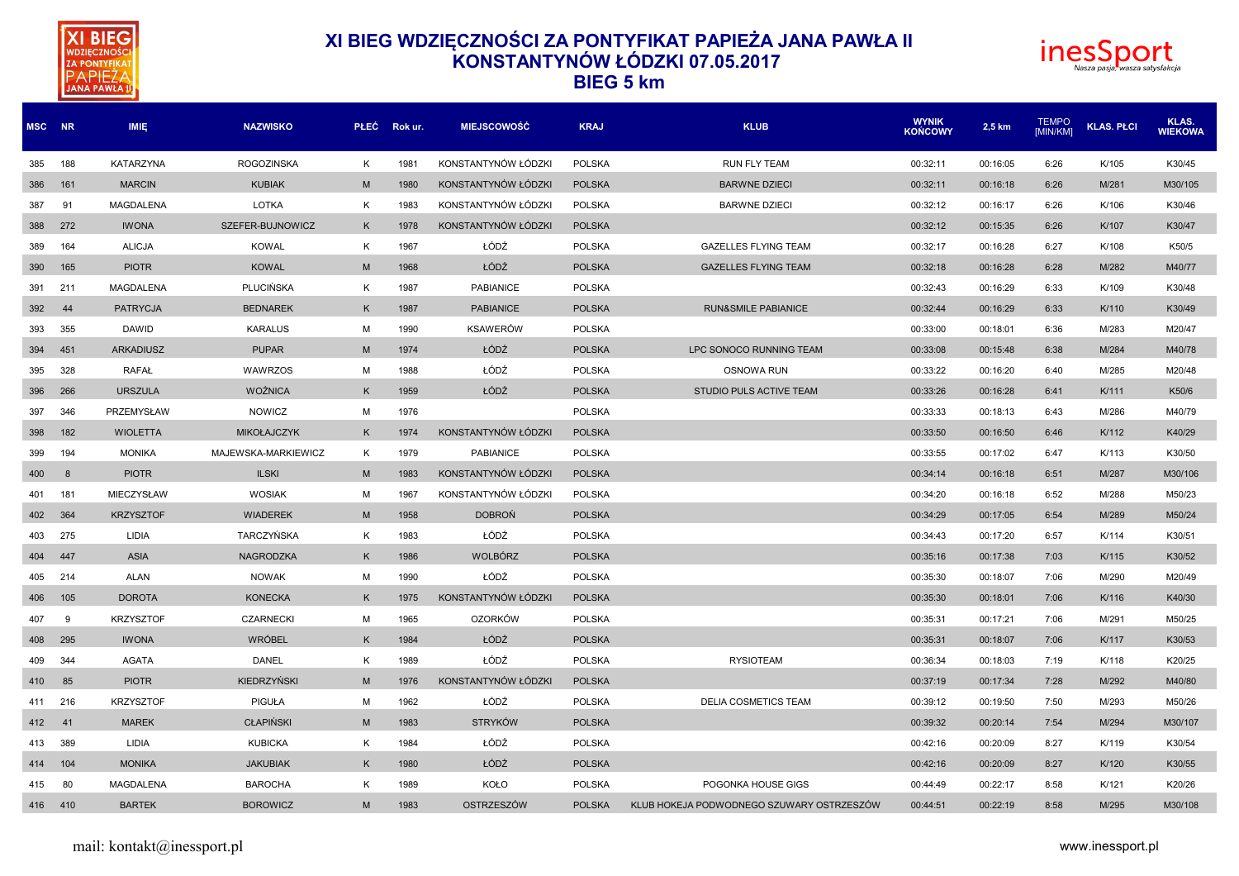



| MSC NR |         | <b>IMIE</b>      | <b>NAZWISKO</b>     |   | PŁEC Rokur. | <b>MIEJSCOWOŚĆ</b>  | <b>KRAJ</b>   | <b>KLUB</b>                               |          | 2,5 km   | <b>TEMPO</b><br>[MIN/KM] | <b>KLAS. PŁCI</b> | KLAS.<br><b>WIEKOWA</b> |
|--------|---------|------------------|---------------------|---|-------------|---------------------|---------------|-------------------------------------------|----------|----------|--------------------------|-------------------|-------------------------|
| 385    | 188     | <b>KATARZYNA</b> | <b>ROGOZINSKA</b>   | K | 1981        | KONSTANTYNÓW ŁÓDZKI | <b>POLSKA</b> | <b>RUN FLY TEAM</b>                       | 00:32:11 | 00:16:05 | 6:26                     | K/105             | K30/45                  |
| 386    | 161     | <b>MARCIN</b>    | <b>KUBIAK</b>       | M | 1980        | KONSTANTYNÓW ŁÓDZKI | <b>POLSKA</b> | <b>BARWNE DZIECI</b>                      | 00:32:11 | 00:16:18 | 6:26                     | M/281             | M30/105                 |
| 387    | 91      | <b>MAGDALENA</b> | LOTKA               | K | 1983        | KONSTANTYNÓW ŁÓDZKI | <b>POLSKA</b> | <b>BARWNE DZIECI</b>                      | 00:32:12 | 00:16:17 | 6:26                     | K/106             | K30/46                  |
| 388    | 272     | <b>IWONA</b>     | SZEFER-BUJNOWICZ    | K | 1978        | KONSTANTYNÓW ŁÓDZKI | <b>POLSKA</b> |                                           | 00:32:12 | 00:15:35 | 6:26                     | K/107             | K30/47                  |
| 389    | 164     | <b>ALICJA</b>    | <b>KOWAL</b>        | K | 1967        | ŁÓDŹ                | <b>POLSKA</b> | <b>GAZELLES FLYING TEAM</b>               | 00:32:17 | 00:16:28 | 6:27                     | K/108             | K50/5                   |
| 390    | 165     | <b>PIOTR</b>     | <b>KOWAL</b>        | M | 1968        | ŁÓDŹ                | <b>POLSKA</b> | <b>GAZELLES FLYING TEAM</b>               | 00:32:18 | 00:16:28 | 6:28                     | M/282             | M40/77                  |
| 391    | 211     | MAGDALENA        | <b>PLUCIŃSKA</b>    | K | 1987        | <b>PABIANICE</b>    | <b>POLSKA</b> |                                           | 00:32:43 | 00:16:29 | 6:33                     | K/109             | K30/48                  |
| 392    | 44      | <b>PATRYCJA</b>  | <b>BEDNAREK</b>     | K | 1987        | <b>PABIANICE</b>    | <b>POLSKA</b> | <b>RUN&amp;SMILE PABIANICE</b>            | 00:32:44 | 00:16:29 | 6:33                     | K/110             | K30/49                  |
| 393    | 355     | <b>DAWID</b>     | <b>KARALUS</b>      | M | 1990        | <b>KSAWERÓW</b>     | <b>POLSKA</b> |                                           | 00:33:00 | 00:18:01 | 6:36                     | M/283             | M20/47                  |
| 394    | 451     | <b>ARKADIUSZ</b> | <b>PUPAR</b>        | M | 1974        | ŁÓDŹ                | <b>POLSKA</b> | LPC SONOCO RUNNING TEAM                   | 00:33:08 | 00:15:48 | 6:38                     | M/284             | M40/78                  |
| 395    | 328     | <b>RAFAL</b>     | WAWRZOS             | M | 1988        | ŁÓDŹ                | <b>POLSKA</b> | <b>OSNOWA RUN</b>                         | 00:33:22 | 00:16:20 | 6:40                     | M/285             | M20/48                  |
| 396    | 266     | <b>URSZULA</b>   | <b>WOŹNICA</b>      | K | 1959        | ŁÓDŹ                | <b>POLSKA</b> | STUDIO PULS ACTIVE TEAM                   | 00:33:26 | 00:16:28 | 6:41                     | K/111             | K50/6                   |
| 397    | 346     | PRZEMYSŁAW       | NOWICZ              | м | 1976        |                     | <b>POLSKA</b> |                                           | 00:33:33 | 00:18:13 | 6:43                     | M/286             | M40/79                  |
| 398    | 182     | <b>WIOLETTA</b>  | <b>MIKOŁAJCZYK</b>  | K | 1974        | KONSTANTYNÓW ŁÓDZKI | <b>POLSKA</b> |                                           | 00:33:50 | 00:16:50 | 6:46                     | K/112             | K40/29                  |
| 399    | 194     | <b>MONIKA</b>    | MAJEWSKA-MARKIEWICZ | K | 1979        | <b>PABIANICE</b>    | <b>POLSKA</b> |                                           | 00:33:55 | 00:17:02 | 6:47                     | K/113             | K30/50                  |
| 400    | 8       | <b>PIOTR</b>     | <b>ILSKI</b>        | M | 1983        | KONSTANTYNÓW ŁÓDZKI | <b>POLSKA</b> |                                           | 00:34:14 | 00:16:18 | 6:51                     | M/287             | M30/106                 |
| 401    | 181     | MIECZYSŁAW       | <b>WOSIAK</b>       | M | 1967        | KONSTANTYNÓW ŁÓDZKI | <b>POLSKA</b> |                                           | 00:34:20 | 00:16:18 | 6:52                     | M/288             | M50/23                  |
| 402    | 364     | <b>KRZYSZTOF</b> | <b>WIADEREK</b>     | M | 1958        | <b>DOBRON</b>       | <b>POLSKA</b> |                                           | 00:34:29 | 00:17:05 | 6:54                     | M/289             | M50/24                  |
| 403    | 275     | LIDIA            | TARCZYŃSKA          | К | 1983        | ŁÓDŹ                | <b>POLSKA</b> |                                           | 00:34:43 | 00:17:20 | 6:57                     | K/114             | K30/51                  |
| 404    | 447     | <b>ASIA</b>      | NAGRODZKA           | K | 1986        | WOLBÓRZ             | <b>POLSKA</b> |                                           | 00:35:16 | 00:17:38 | 7:03                     | K/115             | K30/52                  |
| 405    | 214     | ALAN             | <b>NOWAK</b>        | M | 1990        | ŁÓDŹ                | <b>POLSKA</b> |                                           | 00:35:30 | 00:18:07 | 7:06                     | M/290             | M20/49                  |
| 406    | 105     | <b>DOROTA</b>    | <b>KONECKA</b>      | K | 1975        | KONSTANTYNÓW ŁÓDZKI | <b>POLSKA</b> |                                           | 00:35:30 | 00:18:01 | 7:06                     | K/116             | K40/30                  |
| 407    | 9       | <b>KRZYSZTOF</b> | <b>CZARNECKI</b>    | M | 1965        | <b>OZORKÓW</b>      | <b>POLSKA</b> |                                           | 00:35:31 | 00:17:21 | 7:06                     | M/291             | M50/25                  |
| 408    | 295     | <b>IWONA</b>     | <b>WRÓBEL</b>       | K | 1984        | ŁÓDŹ                | <b>POLSKA</b> |                                           | 00:35:31 | 00:18:07 | 7:06                     | K/117             | K30/53                  |
| 409    | 344     | <b>AGATA</b>     | DANEL               | K | 1989        | ŁÓDŹ                | <b>POLSKA</b> | <b>RYSIOTEAM</b>                          | 00:36:34 | 00:18:03 | 7:19                     | K/118             | K20/25                  |
| 410    | 85      | <b>PIOTR</b>     | KIEDRZYŃSKI         | M | 1976        | KONSTANTYNÓW ŁÓDZKI | <b>POLSKA</b> |                                           | 00:37:19 | 00:17:34 | 7:28                     | M/292             | M40/80                  |
| 411    | 216     | <b>KRZYSZTOF</b> | PIGUŁA              | M | 1962        | ŁÓDŹ                | <b>POLSKA</b> | <b>DELIA COSMETICS TEAM</b>               | 00:39:12 | 00:19:50 | 7:50                     | M/293             | M50/26                  |
| 412    | 41      | <b>MAREK</b>     | <b>CLAPIŃSKI</b>    | M | 1983        | <b>STRYKÓW</b>      | <b>POLSKA</b> |                                           | 00:39:32 | 00:20:14 | 7:54                     | M/294             | M30/107                 |
| 413    | 389     | LIDIA            | <b>KUBICKA</b>      | K | 1984        | ŁÓDŹ                | <b>POLSKA</b> |                                           | 00:42:16 | 00:20:09 | 8:27                     | K/119             | K30/54                  |
| 414    | 104     | <b>MONIKA</b>    | <b>JAKUBIAK</b>     | K | 1980        | ŁÓDŹ                | <b>POLSKA</b> |                                           | 00:42:16 | 00:20:09 | 8:27                     | K/120             | K30/55                  |
| 415    | 80      | <b>MAGDALENA</b> | <b>BAROCHA</b>      | K | 1989        | KOŁO                | <b>POLSKA</b> | POGONKA HOUSE GIGS                        | 00:44:49 | 00:22:17 | 8:58                     | K/121             | K20/26                  |
|        | 416 410 | <b>BARTEK</b>    | <b>BOROWICZ</b>     | M | 1983        | OSTRZESZÓW          | <b>POLSKA</b> | KLUB HOKEJA PODWODNEGO SZUWARY OSTRZESZÓW | 00:44:51 | 00:22:19 | 8:58                     | M/295             | M30/108                 |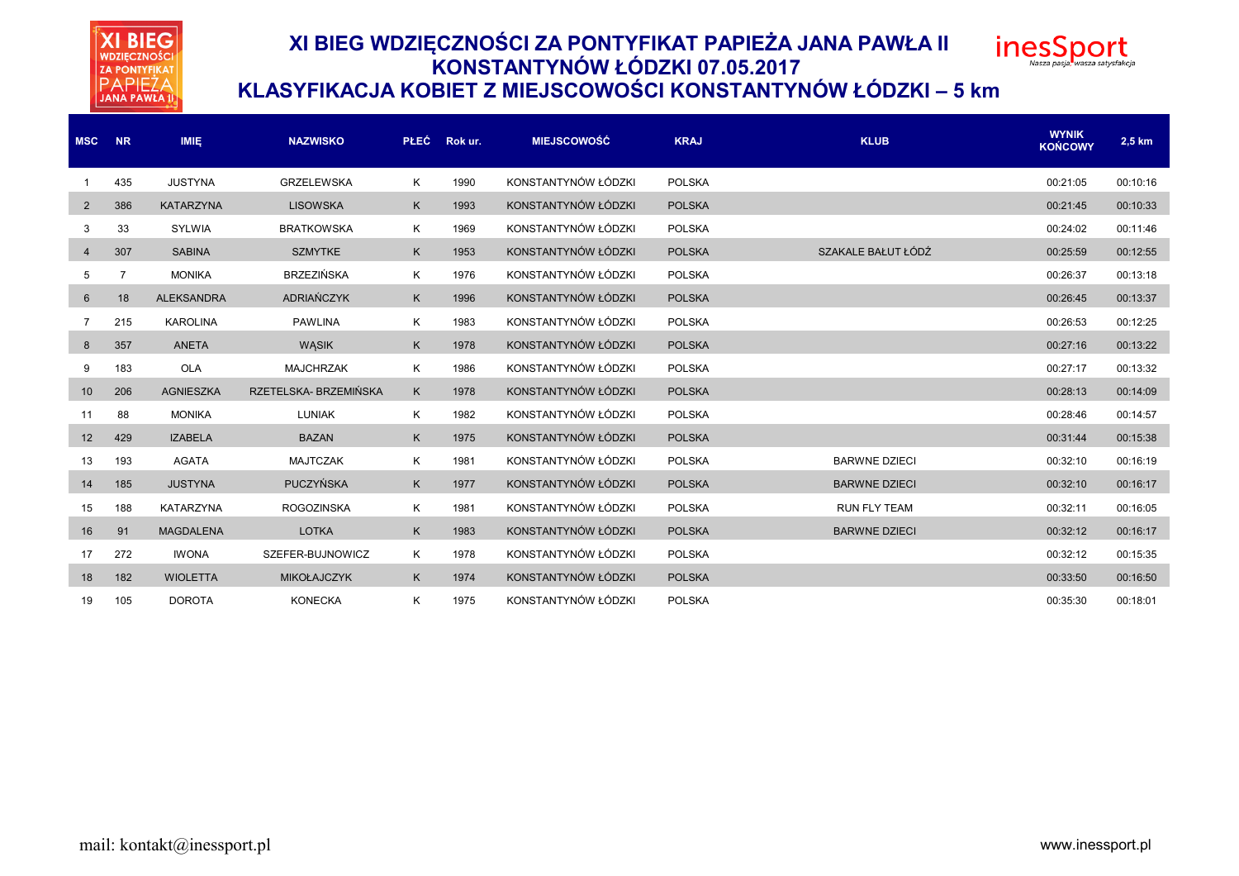



### **KLASYFIKACJA KOBIET Z MIEJSCOWOŚCI KONSTANTYNÓW ŁÓDZKI – 5 km**

| <b>MSC</b>     | <b>NR</b>      | <b>IMIE</b>       | <b>NAZWISKO</b>      | <b>PLEC</b> | Rok ur. | <b>MIEJSCOWOŚĆ</b>  | <b>KRAJ</b>   | <b>KLUB</b>          | <b>WYNIK</b><br><b>KOŃCOWY</b> | 2,5 km   |
|----------------|----------------|-------------------|----------------------|-------------|---------|---------------------|---------------|----------------------|--------------------------------|----------|
|                | 435            | <b>JUSTYNA</b>    | <b>GRZELEWSKA</b>    | Κ           | 1990    | KONSTANTYNÓW ŁÓDZKI | <b>POLSKA</b> |                      | 00:21:05                       | 00:10:16 |
| $\overline{2}$ | 386            | <b>KATARZYNA</b>  | <b>LISOWSKA</b>      | K           | 1993    | KONSTANTYNÓW ŁÓDZKI | <b>POLSKA</b> |                      | 00:21:45                       | 00:10:33 |
| 3              | 33             | <b>SYLWIA</b>     | <b>BRATKOWSKA</b>    | Κ           | 1969    | KONSTANTYNÓW ŁÓDZKI | <b>POLSKA</b> |                      | 00:24:02                       | 00:11:46 |
| $\overline{4}$ | 307            | <b>SABINA</b>     | <b>SZMYTKE</b>       | K           | 1953    | KONSTANTYNÓW ŁÓDZKI | <b>POLSKA</b> | SZAKALE BAŁUT ŁÓDŹ   | 00:25:59                       | 00:12:55 |
| 5              | $\overline{7}$ | <b>MONIKA</b>     | <b>BRZEZIŃSKA</b>    | Κ           | 1976    | KONSTANTYNÓW ŁÓDZKI | <b>POLSKA</b> |                      | 00:26:37                       | 00:13:18 |
| 6              | 18             | <b>ALEKSANDRA</b> | ADRIAŃCZYK           | K           | 1996    | KONSTANTYNÓW ŁÓDZKI | <b>POLSKA</b> |                      | 00:26:45                       | 00:13:37 |
| 7              | 215            | <b>KAROLINA</b>   | <b>PAWLINA</b>       | Κ           | 1983    | KONSTANTYNÓW ŁÓDZKI | <b>POLSKA</b> |                      | 00:26:53                       | 00:12:25 |
| 8              | 357            | <b>ANETA</b>      | <b>WASIK</b>         | K           | 1978    | KONSTANTYNÓW ŁÓDZKI | <b>POLSKA</b> |                      | 00:27:16                       | 00:13:22 |
| 9              | 183            | <b>OLA</b>        | <b>MAJCHRZAK</b>     | Κ           | 1986    | KONSTANTYNÓW ŁÓDZKI | <b>POLSKA</b> |                      | 00:27:17                       | 00:13:32 |
| 10             | 206            | <b>AGNIESZKA</b>  | RZETELSKA-BRZEMIŃSKA | K           | 1978    | KONSTANTYNÓW ŁÓDZKI | <b>POLSKA</b> |                      | 00:28:13                       | 00:14:09 |
| 11             | 88             | <b>MONIKA</b>     | <b>LUNIAK</b>        | Κ           | 1982    | KONSTANTYNÓW ŁÓDZKI | <b>POLSKA</b> |                      | 00:28:46                       | 00:14:57 |
| 12             | 429            | <b>IZABELA</b>    | <b>BAZAN</b>         | K           | 1975    | KONSTANTYNÓW ŁÓDZKI | <b>POLSKA</b> |                      | 00:31:44                       | 00:15:38 |
| 13             | 193            | <b>AGATA</b>      | <b>MAJTCZAK</b>      | Κ           | 1981    | KONSTANTYNÓW ŁÓDZKI | <b>POLSKA</b> | <b>BARWNE DZIECI</b> | 00:32:10                       | 00:16:19 |
| 14             | 185            | <b>JUSTYNA</b>    | PUCZYŃSKA            | K           | 1977    | KONSTANTYNÓW ŁÓDZKI | <b>POLSKA</b> | <b>BARWNE DZIECI</b> | 00:32:10                       | 00:16:17 |
| 15             | 188            | KATARZYNA         | <b>ROGOZINSKA</b>    | K           | 1981    | KONSTANTYNÓW ŁÓDZKI | <b>POLSKA</b> | <b>RUN FLY TEAM</b>  | 00:32:11                       | 00:16:05 |
| 16             | 91             | <b>MAGDALENA</b>  | <b>LOTKA</b>         | K           | 1983    | KONSTANTYNÓW ŁÓDZKI | <b>POLSKA</b> | <b>BARWNE DZIECI</b> | 00:32:12                       | 00:16:17 |
| 17             | 272            | <b>IWONA</b>      | SZEFER-BUJNOWICZ     | K           | 1978    | KONSTANTYNÓW ŁÓDZKI | <b>POLSKA</b> |                      | 00:32:12                       | 00:15:35 |
| 18             | 182            | <b>WIOLETTA</b>   | <b>MIKOŁAJCZYK</b>   | K           | 1974    | KONSTANTYNÓW ŁÓDZKI | <b>POLSKA</b> |                      | 00:33:50                       | 00:16:50 |
| 19             | 105            | <b>DOROTA</b>     | <b>KONECKA</b>       | Κ           | 1975    | KONSTANTYNÓW ŁÓDZKI | <b>POLSKA</b> |                      | 00:35:30                       | 00:18:01 |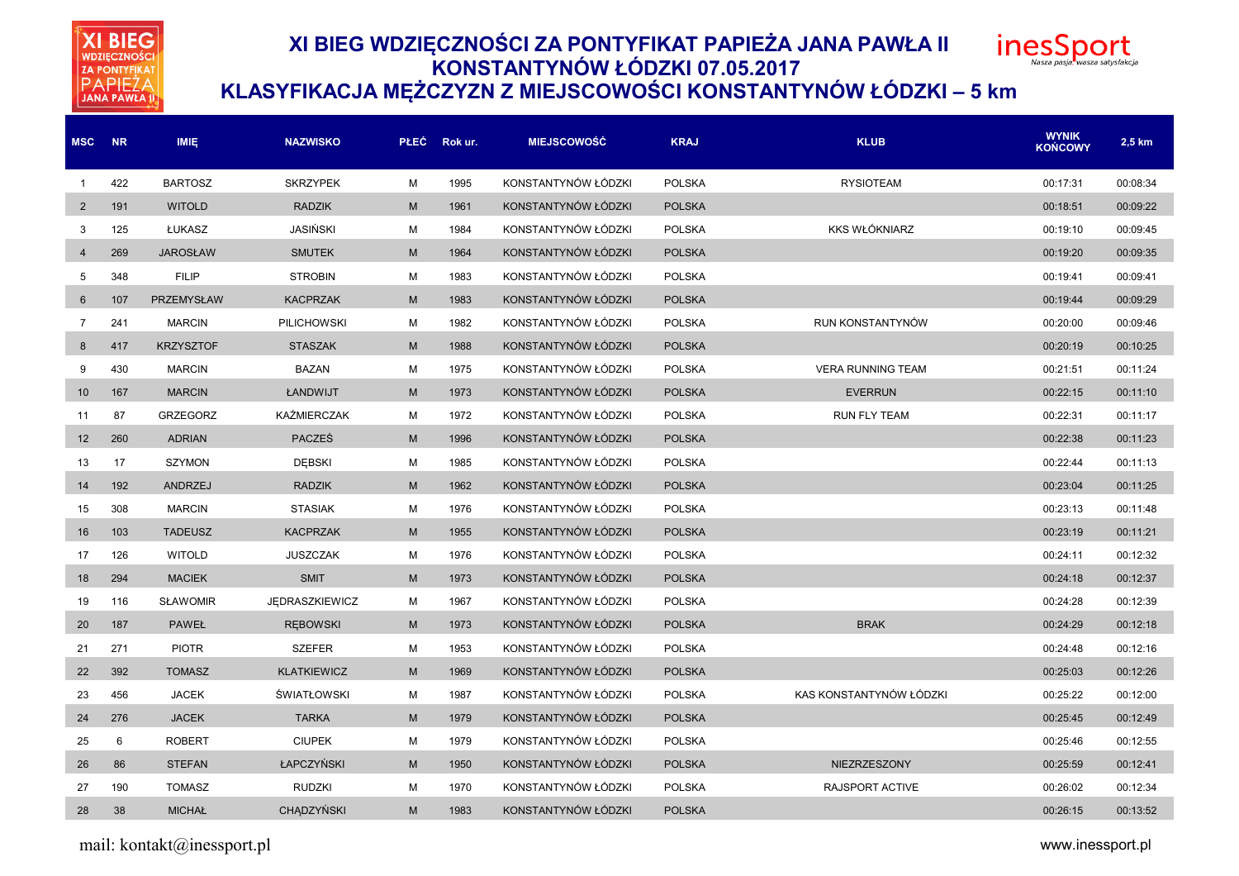**XI BIEG** ZA PONTYFIKAT<br>PAPIEŽA<br>JANA PAWŁA II

# **XI BIEG WDZIĘCZNOŚCI ZA PONTYFIKAT PAPIEŻA JANA PAWŁA II KONSTANTYNÓW ŁÓDZKI 07.05.2017**



### **KLASYFIKACJA MĘŻCZYZN Z MIEJSCOWOŚCI KONSTANTYNÓW ŁÓDZKI – 5 km**

| <b>MSC</b>     | <b>NR</b> | <b>IMIE</b>       | <b>NAZWISKO</b>       |           | PŁEC Rokur. | <b>MIEJSCOWOŚĆ</b>  | <b>KRAJ</b>   | <b>KLUB</b>              | <b>WYNIK</b><br><b>KOŃCOWY</b> | 2,5 km   |
|----------------|-----------|-------------------|-----------------------|-----------|-------------|---------------------|---------------|--------------------------|--------------------------------|----------|
| -1             | 422       | <b>BARTOSZ</b>    | <b>SKRZYPEK</b>       | м         | 1995        | KONSTANTYNÓW ŁÓDZKI | <b>POLSKA</b> | <b>RYSIOTEAM</b>         | 00:17:31                       | 00:08:34 |
| $\overline{2}$ | 191       | <b>WITOLD</b>     | <b>RADZIK</b>         | M         | 1961        | KONSTANTYNÓW ŁÓDZKI | <b>POLSKA</b> |                          | 00:18:51                       | 00:09:22 |
| 3              | 125       | ŁUKASZ            | JASIŃSKI              | M         | 1984        | KONSTANTYNÓW ŁÓDZKI | <b>POLSKA</b> | <b>KKS WŁÓKNIARZ</b>     | 00:19:10                       | 00:09:45 |
| 4              | 269       | <b>JAROSŁAW</b>   | <b>SMUTEK</b>         | ${\sf M}$ | 1964        | KONSTANTYNÓW ŁÓDZKI | <b>POLSKA</b> |                          | 00:19:20                       | 00:09:35 |
| 5              | 348       | <b>FILIP</b>      | <b>STROBIN</b>        | M         | 1983        | KONSTANTYNÓW ŁÓDZKI | <b>POLSKA</b> |                          | 00:19:41                       | 00:09:41 |
| 6              | 107       | <b>PRZEMYSŁAW</b> | <b>KACPRZAK</b>       | M         | 1983        | KONSTANTYNÓW ŁÓDZKI | <b>POLSKA</b> |                          | 00:19:44                       | 00:09:29 |
| $\overline{7}$ | 241       | <b>MARCIN</b>     | <b>PILICHOWSKI</b>    | M         | 1982        | KONSTANTYNÓW ŁÓDZKI | <b>POLSKA</b> | RUN KONSTANTYNÓW         | 00:20:00                       | 00:09:46 |
| 8              | 417       | <b>KRZYSZTOF</b>  | <b>STASZAK</b>        | ${\sf M}$ | 1988        | KONSTANTYNÓW ŁÓDZKI | <b>POLSKA</b> |                          | 00:20:19                       | 00:10:25 |
| 9              | 430       | <b>MARCIN</b>     | <b>BAZAN</b>          | M         | 1975        | KONSTANTYNÓW ŁÓDZKI | <b>POLSKA</b> | <b>VERA RUNNING TEAM</b> | 00:21:51                       | 00:11:24 |
| 10             | 167       | <b>MARCIN</b>     | ŁANDWIJT              | ${\sf M}$ | 1973        | KONSTANTYNÓW ŁÓDZKI | <b>POLSKA</b> | <b>EVERRUN</b>           | 00:22:15                       | 00:11:10 |
| 11             | 87        | <b>GRZEGORZ</b>   | KAŹMIERCZAK           | M         | 1972        | KONSTANTYNÓW ŁÓDZKI | <b>POLSKA</b> | <b>RUN FLY TEAM</b>      | 00:22:31                       | 00:11:17 |
| 12             | 260       | <b>ADRIAN</b>     | <b>PACZEŚ</b>         | ${\sf M}$ | 1996        | KONSTANTYNÓW ŁÓDZKI | <b>POLSKA</b> |                          | 00:22:38                       | 00:11:23 |
| 13             | 17        | <b>SZYMON</b>     | <b>DEBSKI</b>         | M         | 1985        | KONSTANTYNÓW ŁÓDZKI | <b>POLSKA</b> |                          | 00:22:44                       | 00:11:13 |
| 14             | 192       | ANDRZEJ           | <b>RADZIK</b>         | M         | 1962        | KONSTANTYNÓW ŁÓDZKI | <b>POLSKA</b> |                          | 00:23:04                       | 00:11:25 |
| 15             | 308       | <b>MARCIN</b>     | <b>STASIAK</b>        | M         | 1976        | KONSTANTYNÓW ŁÓDZKI | <b>POLSKA</b> |                          | 00:23:13                       | 00:11:48 |
| 16             | 103       | <b>TADEUSZ</b>    | <b>KACPRZAK</b>       | M         | 1955        | KONSTANTYNÓW ŁÓDZKI | <b>POLSKA</b> |                          | 00:23:19                       | 00:11:21 |
| 17             | 126       | <b>WITOLD</b>     | JUSZCZAK              | M         | 1976        | KONSTANTYNÓW ŁÓDZKI | <b>POLSKA</b> |                          | 00:24:11                       | 00:12:32 |
| 18             | 294       | <b>MACIEK</b>     | <b>SMIT</b>           | M         | 1973        | KONSTANTYNÓW ŁÓDZKI | <b>POLSKA</b> |                          | 00:24:18                       | 00:12:37 |
| 19             | 116       | <b>SŁAWOMIR</b>   | <b>JEDRASZKIEWICZ</b> | M         | 1967        | KONSTANTYNÓW ŁÓDZKI | <b>POLSKA</b> |                          | 00:24:28                       | 00:12:39 |
| 20             | 187       | <b>PAWEŁ</b>      | <b>REBOWSKI</b>       | M         | 1973        | KONSTANTYNÓW ŁÓDZKI | <b>POLSKA</b> | <b>BRAK</b>              | 00:24:29                       | 00:12:18 |
| 21             | 271       | <b>PIOTR</b>      | <b>SZEFER</b>         | M         | 1953        | KONSTANTYNÓW ŁÓDZKI | <b>POLSKA</b> |                          | 00:24:48                       | 00:12:16 |
| 22             | 392       | <b>TOMASZ</b>     | <b>KLATKIEWICZ</b>    | M         | 1969        | KONSTANTYNÓW ŁÓDZKI | <b>POLSKA</b> |                          | 00:25:03                       | 00:12:26 |
| 23             | 456       | <b>JACEK</b>      | <b>ŚWIATŁOWSKI</b>    | M         | 1987        | KONSTANTYNÓW ŁÓDZKI | <b>POLSKA</b> | KAS KONSTANTYNÓW ŁÓDZKI  | 00:25:22                       | 00:12:00 |
| 24             | 276       | <b>JACEK</b>      | <b>TARKA</b>          | M         | 1979        | KONSTANTYNÓW ŁÓDZKI | <b>POLSKA</b> |                          | 00:25:45                       | 00:12:49 |
| 25             | 6         | <b>ROBERT</b>     | <b>CIUPEK</b>         | M         | 1979        | KONSTANTYNÓW ŁÓDZKI | <b>POLSKA</b> |                          | 00:25:46                       | 00:12:55 |
| 26             | 86        | <b>STEFAN</b>     | ŁAPCZYŃSKI            | M         | 1950        | KONSTANTYNÓW ŁÓDZKI | <b>POLSKA</b> | NIEZRZESZONY             | 00:25:59                       | 00:12:41 |
| 27             | 190       | <b>TOMASZ</b>     | <b>RUDZKI</b>         | M         | 1970        | KONSTANTYNÓW ŁÓDZKI | <b>POLSKA</b> | RAJSPORT ACTIVE          | 00:26:02                       | 00:12:34 |
| 28             | 38        | <b>MICHAŁ</b>     | <b>CHADZYŃSKI</b>     | M         | 1983        | KONSTANTYNÓW ŁÓDZKI | <b>POLSKA</b> |                          | 00:26:15                       | 00:13:52 |